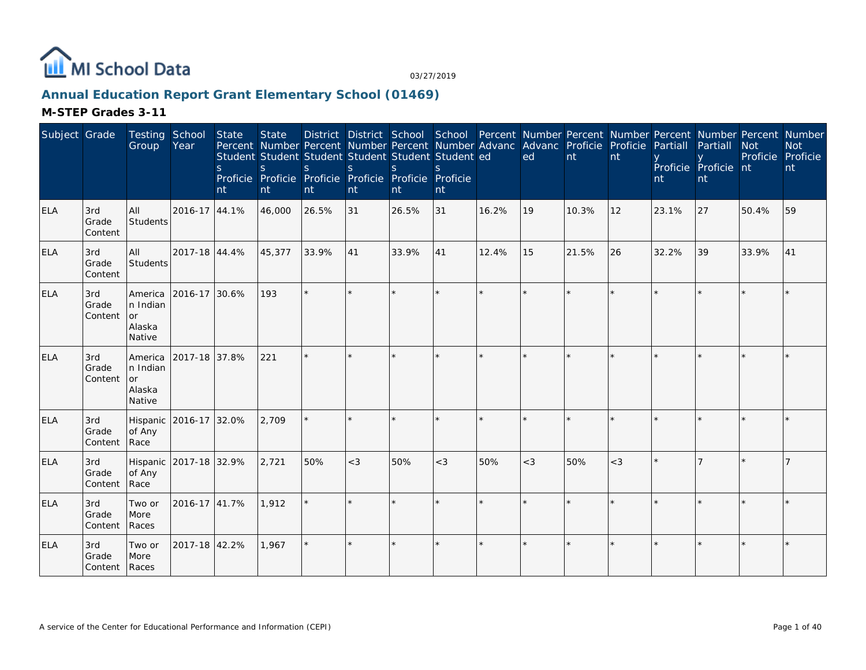

# **Annual Education Report Grant Elementary School (01469)**

| Subject Grade |                                 | Testing School<br>Group                               | Year                   | <b>State</b><br><sub>S</sub><br>nt | <b>State</b><br>Percent Number Percent Number Percent Number Advanc Advanc Proficie Proficie<br>Student Student Student Student Student Student ed<br><sub>S</sub><br>Proficie Proficie Proficie Proficie Proficie Proficie<br>nt | S.<br>nt | <sub>S</sub><br>nt | <sub>S</sub><br>nt | $\mathcal{S}$<br>nt |         | ed      | nt    | nt    | Partiall<br>nt | District District School School Percent Number Percent Number Percent Number Percent Number<br>Partiall<br>Proficie Proficie nt<br>nt | <b>Not</b><br>Proficie Proficie | <b>Not</b><br>nt |
|---------------|---------------------------------|-------------------------------------------------------|------------------------|------------------------------------|-----------------------------------------------------------------------------------------------------------------------------------------------------------------------------------------------------------------------------------|----------|--------------------|--------------------|---------------------|---------|---------|-------|-------|----------------|---------------------------------------------------------------------------------------------------------------------------------------|---------------------------------|------------------|
| <b>ELA</b>    | 3rd<br>Grade<br>Content         | <b>AII</b><br>Students                                | 2016-17 44.1%          |                                    | 46,000                                                                                                                                                                                                                            | 26.5%    | 31                 | 26.5%              | 31                  | 16.2%   | 19      | 10.3% | 12    | 23.1%          | 27                                                                                                                                    | 50.4%                           | 59               |
| ELA           | 3rd<br>Grade<br>Content         | All<br>Students                                       | 2017-18 44.4%          |                                    | 45,377                                                                                                                                                                                                                            | 33.9%    | 41                 | 33.9%              | 41                  | 12.4%   | 15      | 21.5% | 26    | 32.2%          | 39                                                                                                                                    | 33.9%                           | 41               |
| <b>ELA</b>    | 3rd<br>Grade<br>Content         | America<br>In Indian<br><b>or</b><br>Alaska<br>Native | 2016-17 30.6%          |                                    | 193                                                                                                                                                                                                                               | $\star$  |                    | $\star$            | $\star$             | $\star$ | $\star$ |       |       |                |                                                                                                                                       |                                 |                  |
| <b>ELA</b>    | 3rd<br>Grade<br>Content         | America<br>In Indian<br>or<br>Alaska<br>Native        | 2017-18 37.8%          |                                    | 221                                                                                                                                                                                                                               | $\star$  |                    |                    | $\star$             |         |         |       |       |                |                                                                                                                                       |                                 |                  |
| ELA           | 3rd<br>Grade<br>Content         | of Any<br>Race                                        | Hispanic 2016-17 32.0% |                                    | 2,709                                                                                                                                                                                                                             |          |                    |                    | ×.                  | $\star$ |         |       |       |                |                                                                                                                                       |                                 |                  |
| <b>ELA</b>    | 3rd<br>Grade<br>Content         | of Any<br>Race                                        | Hispanic 2017-18 32.9% |                                    | 2,721                                                                                                                                                                                                                             | 50%      | $<$ 3              | 50%                | $<$ 3               | 50%     | $<$ 3   | 50%   | $<$ 3 |                |                                                                                                                                       |                                 |                  |
| ELA           | 3rd<br>Grade<br>Content         | Two or<br>More<br>Races                               | 2016-17 41.7%          |                                    | 1,912                                                                                                                                                                                                                             |          |                    |                    |                     |         |         |       |       |                |                                                                                                                                       |                                 |                  |
| <b>ELA</b>    | 3rd<br>Grade<br>Content   Races | Two or<br>More                                        | 2017-18 42.2%          |                                    | 1,967                                                                                                                                                                                                                             | $\star$  |                    |                    | $\star$             |         | $\star$ |       |       |                |                                                                                                                                       |                                 |                  |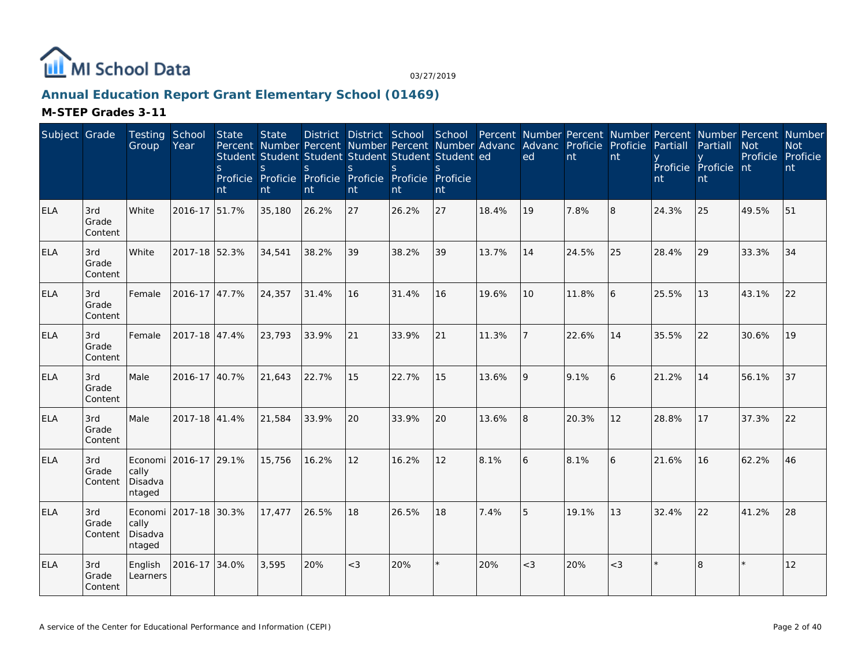

## **Annual Education Report Grant Elementary School (01469)**

| Subject Grade |                         | Testing School<br>Group               | Year                  | State<br><sub>S</sub><br>nt | <b>State</b><br>S<br>nt | S.<br>nt | S<br>nt | District District School School<br>Percent Number Percent Number Percent Number Advanc<br>Student Student Student Student Student Student ed<br>S.<br>Proficie Proficie Proficie Proficie Proficie Proficie<br>nt | S.<br>nt |       | Percent Number Percent Number Percent Number Percent Number<br>Advanc Proficie<br>ed | nt    | Proficie<br>nt | Partiall<br>nt | Partiall<br>Proficie Proficie nt<br>nt | <b>Not</b><br>Proficie Proficie | <b>Not</b><br>nt |
|---------------|-------------------------|---------------------------------------|-----------------------|-----------------------------|-------------------------|----------|---------|-------------------------------------------------------------------------------------------------------------------------------------------------------------------------------------------------------------------|----------|-------|--------------------------------------------------------------------------------------|-------|----------------|----------------|----------------------------------------|---------------------------------|------------------|
| <b>ELA</b>    | 3rd<br>Grade<br>Content | White                                 | 2016-17 51.7%         |                             | 35,180                  | 26.2%    | 27      | 26.2%                                                                                                                                                                                                             | 27       | 18.4% | 19                                                                                   | 7.8%  | 8              | 24.3%          | 25                                     | 49.5%                           | 51               |
| <b>ELA</b>    | 3rd<br>Grade<br>Content | White                                 | 2017-18 52.3%         |                             | 34,541                  | 38.2%    | 39      | 38.2%                                                                                                                                                                                                             | 39       | 13.7% | 14                                                                                   | 24.5% | 25             | 28.4%          | 29                                     | 33.3%                           | 34               |
| <b>ELA</b>    | 3rd<br>Grade<br>Content | Female                                | 2016-17 47.7%         |                             | 24,357                  | 31.4%    | 16      | 31.4%                                                                                                                                                                                                             | 16       | 19.6% | 10 <sup>1</sup>                                                                      | 11.8% | 6              | 25.5%          | 13                                     | 43.1%                           | 22               |
| <b>ELA</b>    | 3rd<br>Grade<br>Content | Female                                | 2017-18 47.4%         |                             | 23,793                  | 33.9%    | 21      | 33.9%                                                                                                                                                                                                             | 21       | 11.3% |                                                                                      | 22.6% | 14             | 35.5%          | 22                                     | 30.6%                           | 19               |
| <b>ELA</b>    | 3rd<br>Grade<br>Content | Male                                  | 2016-17 40.7%         |                             | 21,643                  | 22.7%    | 15      | 22.7%                                                                                                                                                                                                             | 15       | 13.6% | 9                                                                                    | 9.1%  | 6              | 21.2%          | 14                                     | 56.1%                           | 37               |
| <b>ELA</b>    | 3rd<br>Grade<br>Content | Male                                  | 2017-18 41.4%         |                             | 21,584                  | 33.9%    | 20      | 33.9%                                                                                                                                                                                                             | 20       | 13.6% | 8                                                                                    | 20.3% | 12             | 28.8%          | 17                                     | 37.3%                           | 22               |
| <b>ELA</b>    | 3rd<br>Grade<br>Content | Economi<br>cally<br>Disadva<br>ntaged | 2016-17 29.1%         |                             | 15,756                  | 16.2%    | 12      | 16.2%                                                                                                                                                                                                             | 12       | 8.1%  | 6                                                                                    | 8.1%  | 6              | 21.6%          | 16                                     | 62.2%                           | 46               |
| <b>ELA</b>    | 3rd<br>Grade<br>Content | cally<br>Disadva<br>ntaged            | Economi 2017-18 30.3% |                             | 17,477                  | 26.5%    | 18      | 26.5%                                                                                                                                                                                                             | 18       | 7.4%  | 5                                                                                    | 19.1% | 13             | 32.4%          | 22                                     | 41.2%                           | 28               |
| <b>ELA</b>    | 3rd<br>Grade<br>Content | English<br>Learners                   | 2016-17 34.0%         |                             | 3,595                   | 20%      | $<$ 3   | 20%                                                                                                                                                                                                               |          | 20%   | $<$ 3                                                                                | 20%   | $<$ 3          |                | $\overline{8}$                         | k.                              | 12               |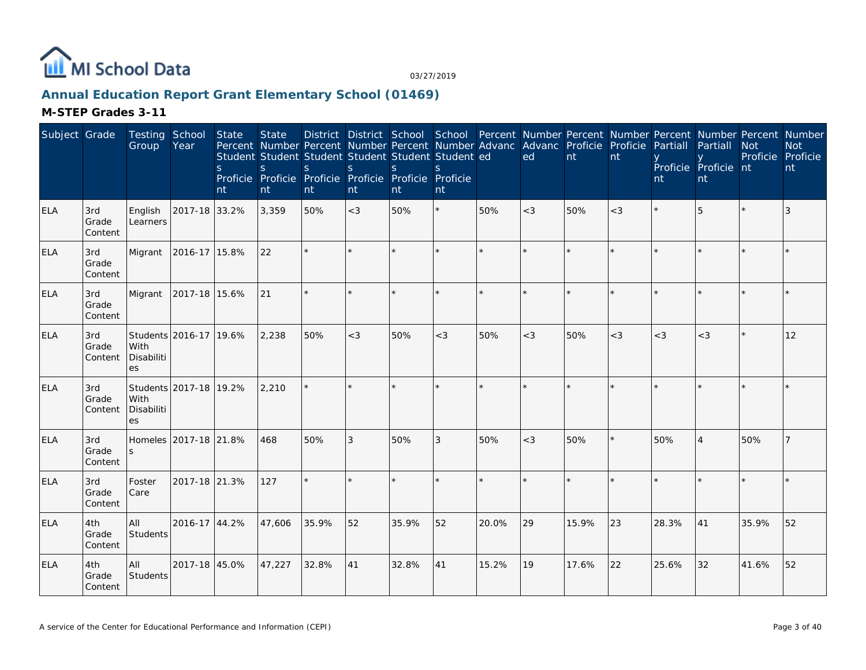

## **Annual Education Report Grant Elementary School (01469)**

| Subject Grade |                         | Testing School<br>Group  | Year                   | State<br>$\mathsf{S}$<br>nt | <b>State</b><br>S<br>nt | Percent Number Percent Number Percent Number Advanc<br>Student Student Student Student Student Student ed<br>S.<br>Proficie Proficie Proficie Proficie Proficie Proficie<br>nt | <sub>S</sub><br>nt | S.<br>nt | S.<br>nt   |       | District District School School Percent Number Percent Number Percent Number Percent Number<br>Advanc Proficie<br>ed | nt    | Proficie<br>nt | Partiall<br>nt | Partiall<br>Proficie Proficie nt<br>nt | <b>Not</b><br>Proficie Proficie | <b>Not</b><br>nt |
|---------------|-------------------------|--------------------------|------------------------|-----------------------------|-------------------------|--------------------------------------------------------------------------------------------------------------------------------------------------------------------------------|--------------------|----------|------------|-------|----------------------------------------------------------------------------------------------------------------------|-------|----------------|----------------|----------------------------------------|---------------------------------|------------------|
| <b>ELA</b>    | 3rd<br>Grade<br>Content | English<br>Learners      | 2017-18 33.2%          |                             | 3,359                   | 50%                                                                                                                                                                            | $<$ 3              | 50%      | $^{\star}$ | 50%   | $<$ 3                                                                                                                | 50%   | $<$ 3          |                | 5                                      |                                 | 3                |
| <b>ELA</b>    | 3rd<br>Grade<br>Content | Migrant                  | 2016-17 15.8%          |                             | 22                      | $\star$                                                                                                                                                                        |                    |          | $\star$    |       |                                                                                                                      |       |                |                |                                        |                                 |                  |
| <b>ELA</b>    | 3rd<br>Grade<br>Content | Migrant                  | 2017-18 15.6%          |                             | 21                      | $\star$                                                                                                                                                                        | ×.                 |          | $\star$    |       | $\star$                                                                                                              |       |                |                |                                        |                                 | $\star$          |
| <b>ELA</b>    | 3rd<br>Grade<br>Content | With<br>Disabiliti<br>es | Students 2016-17 19.6% |                             | 2,238                   | 50%                                                                                                                                                                            | $<$ 3              | 50%      | $<$ 3      | 50%   | $<$ 3                                                                                                                | 50%   | $<$ 3          | $<$ 3          | $<$ 3                                  |                                 | 12               |
| <b>ELA</b>    | 3rd<br>Grade<br>Content | With<br>Disabiliti<br>es | Students 2017-18 19.2% |                             | 2,210                   |                                                                                                                                                                                | $\star$            |          | $\star$    |       |                                                                                                                      |       |                |                |                                        |                                 |                  |
| <b>ELA</b>    | 3rd<br>Grade<br>Content | Homeles<br><sub>S</sub>  | 2017-18 21.8%          |                             | 468                     | 50%                                                                                                                                                                            | 3                  | 50%      | 3          | 50%   | $<$ 3                                                                                                                | 50%   |                | 50%            |                                        | 50%                             |                  |
| <b>ELA</b>    | 3rd<br>Grade<br>Content | Foster<br>Care           | 2017-18 21.3%          |                             | 127                     | ÷.                                                                                                                                                                             | $\star$            |          | $\star$    |       | $\star$                                                                                                              |       |                |                |                                        |                                 |                  |
| <b>ELA</b>    | 4th<br>Grade<br>Content | All<br>Students          | 2016-17 44.2%          |                             | 47,606                  | 35.9%                                                                                                                                                                          | 52                 | 35.9%    | 52         | 20.0% | 29                                                                                                                   | 15.9% | 23             | 28.3%          | 41                                     | 35.9%                           | 52               |
| <b>ELA</b>    | 4th<br>Grade<br>Content | All<br>Students          | 2017-18 45.0%          |                             | 47,227                  | 32.8%                                                                                                                                                                          | 41                 | 32.8%    | 41         | 15.2% | 19                                                                                                                   | 17.6% | 22             | 25.6%          | 32                                     | 41.6%                           | 52               |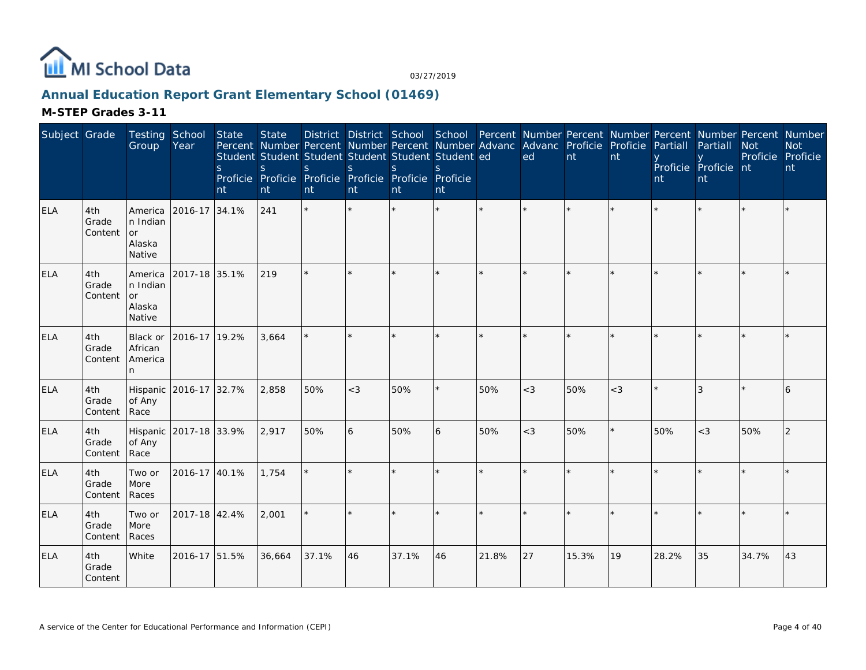

# **Annual Education Report Grant Elementary School (01469)**

| Subject Grade |                         | <b>Testing School</b><br>Group                       | Year          | <b>State</b><br>S.<br>nt | <b>State</b><br>Percent Number Percent Number Percent Number Advanc Advanc Proficie Proficie<br>Student Student Student Student Student Student ed<br><sub>S</sub><br>Proficie Proficie Proficie Proficie Proficie Proficie<br>nt | S.<br>nt | <sub>S</sub><br>nt | <sup>S</sup><br>nt | <sup>S</sup><br>nt |         | District District School School Percent Number Percent Number Percent Number Percent Number<br>ed | nt    | nt    | Partiall<br>nt | Partiall<br>Proficie Proficie nt<br>nt | <b>Not</b><br>Proficie Proficie | <b>Not</b><br>nt |
|---------------|-------------------------|------------------------------------------------------|---------------|--------------------------|-----------------------------------------------------------------------------------------------------------------------------------------------------------------------------------------------------------------------------------|----------|--------------------|--------------------|--------------------|---------|---------------------------------------------------------------------------------------------------|-------|-------|----------------|----------------------------------------|---------------------------------|------------------|
| <b>ELA</b>    | 4th<br>Grade<br>Content | America<br>n Indian<br>or<br>Alaska<br>Native        | 2016-17       | 34.1%                    | 241                                                                                                                                                                                                                               | $\star$  |                    |                    |                    | $\star$ | $\star$                                                                                           |       |       |                |                                        |                                 |                  |
| <b>ELA</b>    | 4th<br>Grade<br>Content | America<br>n Indian<br><b>or</b><br>Alaska<br>Native | 2017-18 35.1% |                          | 219                                                                                                                                                                                                                               |          |                    |                    |                    |         |                                                                                                   |       |       |                |                                        |                                 |                  |
| <b>ELA</b>    | 4th<br>Grade<br>Content | Black or<br>African<br>America<br>n                  | 2016-17 19.2% |                          | 3,664                                                                                                                                                                                                                             | $\star$  |                    |                    |                    |         |                                                                                                   |       |       |                |                                        |                                 |                  |
| <b>ELA</b>    | 4th<br>Grade<br>Content | Hispanic 2016-17 32.7%<br>of Any<br>Race             |               |                          | 2,858                                                                                                                                                                                                                             | 50%      | $<$ 3              | 50%                |                    | 50%     | $<$ 3                                                                                             | 50%   | $<$ 3 |                | $\mathcal{R}$                          |                                 | 6                |
| <b>ELA</b>    | 4th<br>Grade<br>Content | Hispanic 2017-18 33.9%<br>of Any<br>Race             |               |                          | 2,917                                                                                                                                                                                                                             | 50%      | 6                  | 50%                | 6                  | 50%     | $<$ 3                                                                                             | 50%   |       | 50%            | $<$ 3                                  | 50%                             | 2                |
| <b>ELA</b>    | 4th<br>Grade<br>Content | Two or<br>More<br>Races                              | 2016-17 40.1% |                          | 1.754                                                                                                                                                                                                                             | $\star$  |                    |                    |                    |         |                                                                                                   |       |       |                |                                        |                                 |                  |
| <b>ELA</b>    | 4th<br>Grade<br>Content | Two or<br>More<br>Races                              | 2017-18 42.4% |                          | 2,001                                                                                                                                                                                                                             | $\star$  |                    |                    |                    | $\star$ |                                                                                                   |       |       |                |                                        |                                 |                  |
| <b>ELA</b>    | 4th<br>Grade<br>Content | White                                                | 2016-17 51.5% |                          | 36,664                                                                                                                                                                                                                            | 37.1%    | 46                 | 37.1%              | 46                 | 21.8%   | 27                                                                                                | 15.3% | 19    | 28.2%          | 35                                     | 34.7%                           | 43               |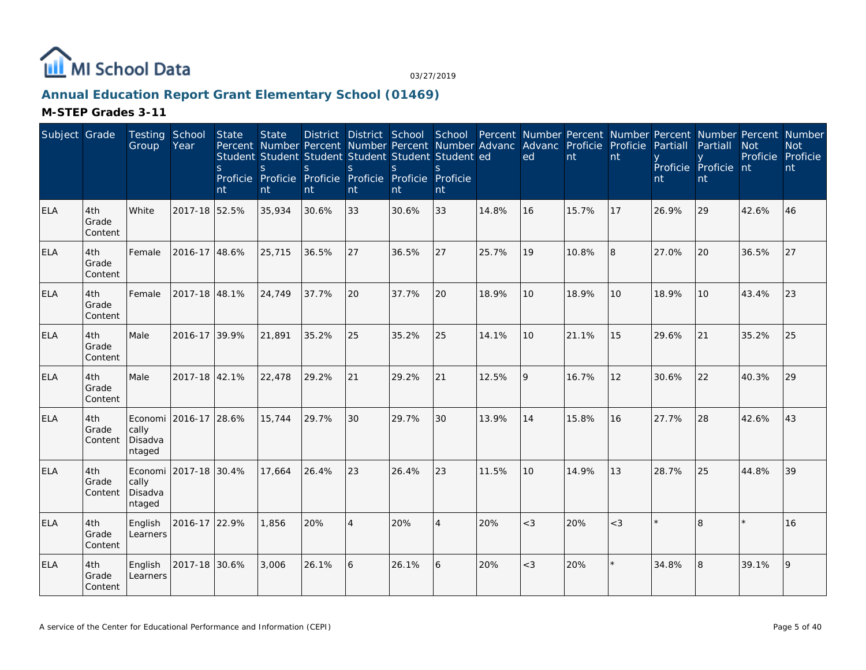

## **Annual Education Report Grant Elementary School (01469)**

| Subject Grade |                         | Testing School<br>Group               | Year                  | State<br><sub>S</sub><br>nt | <b>State</b><br>S.<br>nt | District District School<br>S.<br>nt | S<br>nt        | Percent Number Percent Number Percent Number Advanc<br>Student Student Student Student Student Student ed<br><sub>S</sub><br>Proficie Proficie Proficie Proficie Proficie Proficie<br>nt | School<br>S.<br>nt |       | Percent Number Percent Number Percent Number Percent Number<br>Advanc Proficie<br>ed | nt    | Proficie<br>nt | Partiall<br>nt | Partiall<br>Proficie Proficie nt<br>nt | <b>Not</b><br>Proficie Proficie | <b>Not</b><br>nt |
|---------------|-------------------------|---------------------------------------|-----------------------|-----------------------------|--------------------------|--------------------------------------|----------------|------------------------------------------------------------------------------------------------------------------------------------------------------------------------------------------|--------------------|-------|--------------------------------------------------------------------------------------|-------|----------------|----------------|----------------------------------------|---------------------------------|------------------|
| <b>ELA</b>    | 4th<br>Grade<br>Content | White                                 | 2017-18 52.5%         |                             | 35,934                   | 30.6%                                | 33             | 30.6%                                                                                                                                                                                    | 33                 | 14.8% | 16                                                                                   | 15.7% | 17             | 26.9%          | 29                                     | 42.6%                           | 46               |
| <b>ELA</b>    | 4th<br>Grade<br>Content | Female                                | 2016-17 48.6%         |                             | 25,715                   | 36.5%                                | 27             | 36.5%                                                                                                                                                                                    | 27                 | 25.7% | 19                                                                                   | 10.8% | 8              | 27.0%          | 20                                     | 36.5%                           | 27               |
| <b>ELA</b>    | 4th<br>Grade<br>Content | Female                                | 2017-18 48.1%         |                             | 24,749                   | 37.7%                                | 20             | 37.7%                                                                                                                                                                                    | 20                 | 18.9% | 10                                                                                   | 18.9% | 10             | 18.9%          | 10                                     | 43.4%                           | 23               |
| <b>ELA</b>    | 4th<br>Grade<br>Content | Male                                  | 2016-17 39.9%         |                             | 21,891                   | 35.2%                                | 25             | 35.2%                                                                                                                                                                                    | 25                 | 14.1% | 10                                                                                   | 21.1% | 15             | 29.6%          | 21                                     | 35.2%                           | 25               |
| <b>ELA</b>    | 4th<br>Grade<br>Content | Male                                  | 2017-18 42.1%         |                             | 22,478                   | 29.2%                                | 21             | 29.2%                                                                                                                                                                                    | 21                 | 12.5% | 9                                                                                    | 16.7% | 12             | 30.6%          | 22                                     | 40.3%                           | 29               |
| <b>ELA</b>    | 4th<br>Grade<br>Content | cally<br>Disadva<br>ntaged            | Economi 2016-17 28.6% |                             | 15,744                   | 29.7%                                | 30             | 29.7%                                                                                                                                                                                    | 30                 | 13.9% | 14                                                                                   | 15.8% | 16             | 27.7%          | 28                                     | 42.6%                           | 43               |
| <b>ELA</b>    | 4th<br>Grade<br>Content | Economi<br>cally<br>Disadva<br>ntaged | 2017-18 30.4%         |                             | 17.664                   | 26.4%                                | 23             | 26.4%                                                                                                                                                                                    | 23                 | 11.5% | 10                                                                                   | 14.9% | 13             | 28.7%          | 25                                     | 44.8%                           | 39               |
| <b>ELA</b>    | 4th<br>Grade<br>Content | English<br>Learners                   | 2016-17 22.9%         |                             | 1,856                    | 20%                                  | $\overline{A}$ | 20%                                                                                                                                                                                      | $\overline{4}$     | 20%   | $<$ 3                                                                                | 20%   | $<$ 3          |                | $\overline{\mathsf{B}}$                |                                 | 16               |
| <b>ELA</b>    | 4th<br>Grade<br>Content | English<br>Learners                   | 2017-18 30.6%         |                             | 3,006                    | 26.1%                                | 6              | 26.1%                                                                                                                                                                                    | 6                  | 20%   | $<$ 3                                                                                | 20%   | $\star$        | 34.8%          | 8                                      | 39.1%                           | 9                |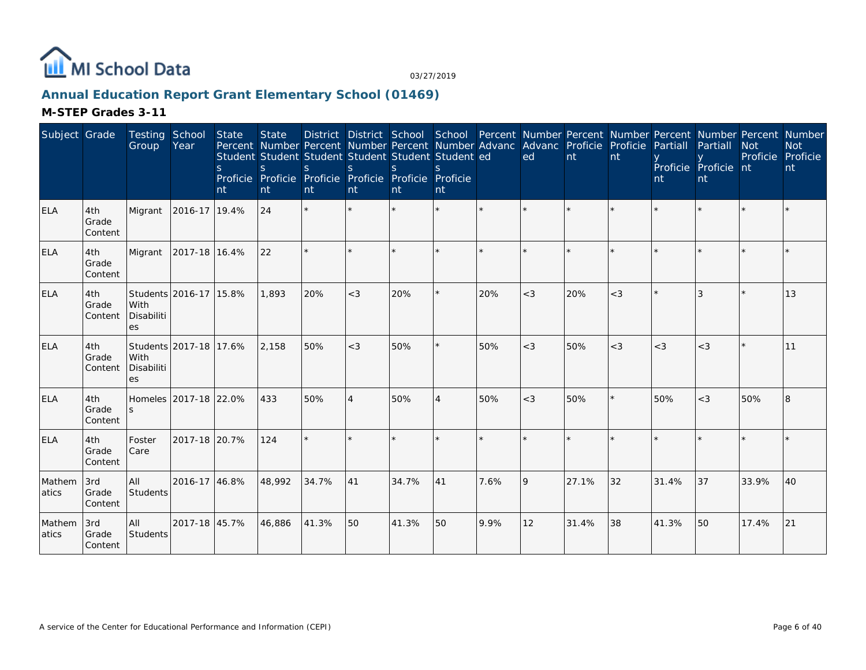

# **Annual Education Report Grant Elementary School (01469)**

| Subject Grade    |                         | Testing<br>Group                | School<br>Year         | <b>State</b><br><sup>S</sup><br>nt | <b>State</b><br><sub>S</sub><br>nt | District District School School Percent Number Percent Number Percent Number Percent Number<br>Percent Number Percent Number Percent Number Advanc Advanc Proficie Proficie<br>Student Student Student Student Student Student ed<br>S.<br>Proficie Proficie Proficie Proficie Proficie Proficie<br>nt | $\mathbf S$<br>nt        | $\mathcal{S}$<br>Int | nt             |         | ed      | $\mathsf{nt}$ | nt    | Partiall<br>nt | Partiall<br>Proficie Proficie nt<br>nt | <b>Not</b><br>Proficie Proficie | <b>Not</b><br>nt |
|------------------|-------------------------|---------------------------------|------------------------|------------------------------------|------------------------------------|--------------------------------------------------------------------------------------------------------------------------------------------------------------------------------------------------------------------------------------------------------------------------------------------------------|--------------------------|----------------------|----------------|---------|---------|---------------|-------|----------------|----------------------------------------|---------------------------------|------------------|
| <b>ELA</b>       | 4th<br>Grade<br>Content | Migrant                         | 2016-17                | 19.4%                              | 24                                 | $\star$                                                                                                                                                                                                                                                                                                | $\star$                  |                      | $\star$        | $\star$ | $\star$ |               |       |                |                                        |                                 |                  |
| <b>ELA</b>       | 4th<br>Grade<br>Content | Migrant                         | 2017-18 16.4%          |                                    | 22                                 |                                                                                                                                                                                                                                                                                                        |                          |                      |                |         |         |               |       |                |                                        |                                 |                  |
| <b>ELA</b>       | 4th<br>Grade<br>Content | With<br>Disabiliti<br><b>es</b> | Students 2016-17 15.8% |                                    | 1,893                              | 20%                                                                                                                                                                                                                                                                                                    | $<$ 3                    | 20%                  | ×.             | 20%     | $<$ 3   | 20%           | $<$ 3 |                |                                        |                                 | 13               |
| <b>ELA</b>       | 4th<br>Grade<br>Content | With<br>Disabiliti<br>es        | Students 2017-18 17.6% |                                    | 2.158                              | 50%                                                                                                                                                                                                                                                                                                    | $<$ 3                    | 50%                  | $\star$        | 50%     | $<$ 3   | 50%           | $<$ 3 | $<$ 3          | $<$ 3                                  | $\star$                         | 11               |
| <b>ELA</b>       | 4th<br>Grade<br>Content |                                 | Homeles 2017-18 22.0%  |                                    | 433                                | 50%                                                                                                                                                                                                                                                                                                    | $\overline{\mathcal{A}}$ | 50%                  | $\overline{4}$ | 50%     | $<$ 3   | 50%           |       | 50%            | $<$ 3                                  | 50%                             | 8                |
| <b>ELA</b>       | 4th<br>Grade<br>Content | Foster<br>Care                  | 2017-18 20.7%          |                                    | 124                                | $\star$                                                                                                                                                                                                                                                                                                |                          |                      |                | $\star$ |         |               |       |                |                                        |                                 |                  |
| Mathem<br>latics | 3rd<br>Grade<br>Content | <b>AII</b><br>Students          | 2016-17 46.8%          |                                    | 48.992                             | 34.7%                                                                                                                                                                                                                                                                                                  | 41                       | 34.7%                | 41             | 7.6%    | 9       | 27.1%         | 32    | 31.4%          | 37                                     | 33.9%                           | 40               |
| Mathem<br>atics  | 3rd<br>Grade<br>Content | lail<br>Students                | 2017-18 45.7%          |                                    | 46,886                             | 41.3%                                                                                                                                                                                                                                                                                                  | 50                       | 41.3%                | 50             | 9.9%    | 12      | 31.4%         | 38    | 41.3%          | 50                                     | 17.4%                           | 21               |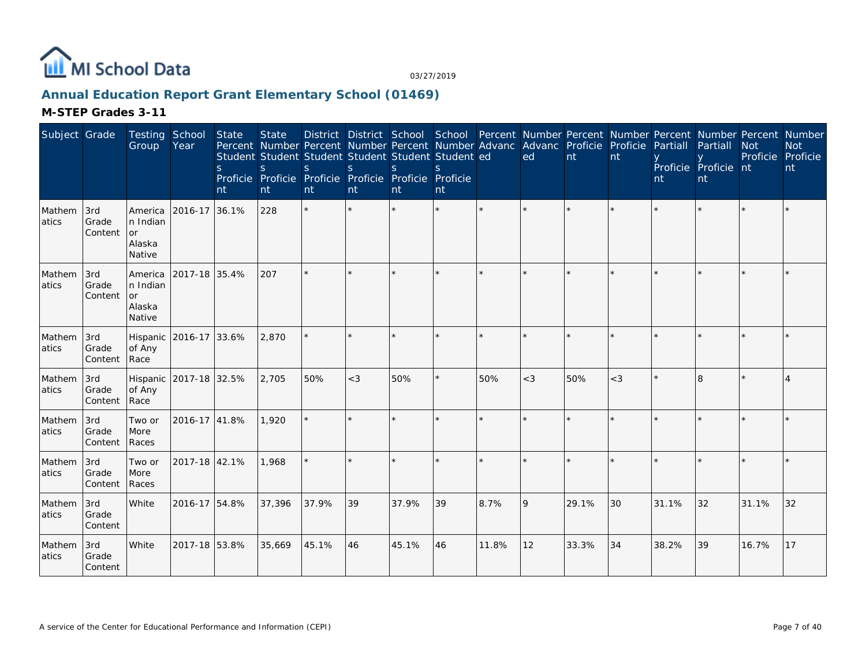

# **Annual Education Report Grant Elementary School (01469)**

| Subject Grade    |                         | Testing School<br>Group                          | Year                   | <b>State</b><br><sub>S</sub><br>nt | <b>State</b><br><sub>S</sub><br>nt | Percent Number Percent Number Percent Number Advanc Advanc Proficie Proficie<br>Student Student Student Student Student Student ed<br>S.<br>Proficie Proficie Proficie Proficie Proficie Proficie<br>nt | <sub>S</sub><br>nt | $\mathcal{S}$<br>nt | $\mathcal{S}$<br>nt |         | District District School School Percent Number Percent Number Percent Number Percent Number<br>ed | nt    | nt    | Partiall<br>nt | Partiall<br>Proficie Proficie nt<br>nt | <b>Not</b><br>Proficie | <b>Not</b><br>Proficie<br>nt |
|------------------|-------------------------|--------------------------------------------------|------------------------|------------------------------------|------------------------------------|---------------------------------------------------------------------------------------------------------------------------------------------------------------------------------------------------------|--------------------|---------------------|---------------------|---------|---------------------------------------------------------------------------------------------------|-------|-------|----------------|----------------------------------------|------------------------|------------------------------|
| Mathem<br>atics  | 3rd<br>Grade<br>Content | America<br>In Indian<br>or<br>Alaska<br>Native   | 2016-17 36.1%          |                                    | 228                                | $\star$                                                                                                                                                                                                 |                    |                     | $\star$             |         |                                                                                                   |       |       |                |                                        |                        |                              |
| Mathem<br>latics | 3rd<br>Grade<br>Content | America<br>In Indian<br>l or<br>Alaska<br>Native | 2017-18 35.4%          |                                    | 207                                | $\star$                                                                                                                                                                                                 |                    |                     | $\star$             |         |                                                                                                   |       |       |                |                                        |                        |                              |
| Mathem<br>atics  | 3rd<br>Grade<br>Content | of Any<br>Race                                   | Hispanic 2016-17 33.6% |                                    | 2,870                              |                                                                                                                                                                                                         |                    |                     | ×.                  | $\star$ |                                                                                                   |       |       |                |                                        |                        |                              |
| Mathem<br>atics  | 3rd<br>Grade<br>Content | of Any<br>Race                                   | Hispanic 2017-18 32.5% |                                    | 2.705                              | 50%                                                                                                                                                                                                     | $<$ 3              | 50%                 | ×.                  | 50%     | $<$ 3                                                                                             | 50%   | $<$ 3 |                | 8                                      |                        | 4                            |
| Mathem<br>atics  | 3rd<br>Grade<br>Content | Two or<br>More<br>Races                          | 2016-17 41.8%          |                                    | 1,920                              |                                                                                                                                                                                                         |                    |                     | $\star$             |         | $\star$                                                                                           |       |       |                |                                        |                        |                              |
| Mathem<br>atics  | 3rd<br>Grade<br>Content | Two or<br>More<br>Races                          | 2017-18 42.1%          |                                    | 1,968                              |                                                                                                                                                                                                         |                    |                     | $\star$             |         |                                                                                                   |       |       |                |                                        |                        |                              |
| Mathem<br>atics  | 3rd<br>Grade<br>Content | <b>White</b>                                     | 2016-17 54.8%          |                                    | 37,396                             | 37.9%                                                                                                                                                                                                   | 39                 | 37.9%               | 39                  | 8.7%    | 9                                                                                                 | 29.1% | 30    | 31.1%          | 32                                     | 31.1%                  | 32                           |
| Mathem<br>atics  | 3rd<br>Grade<br>Content | White                                            | 2017-18 53.8%          |                                    | 35,669                             | 45.1%                                                                                                                                                                                                   | 46                 | 45.1%               | 46                  | 11.8%   | 12                                                                                                | 33.3% | 34    | 38.2%          | 39                                     | 16.7%                  | 17                           |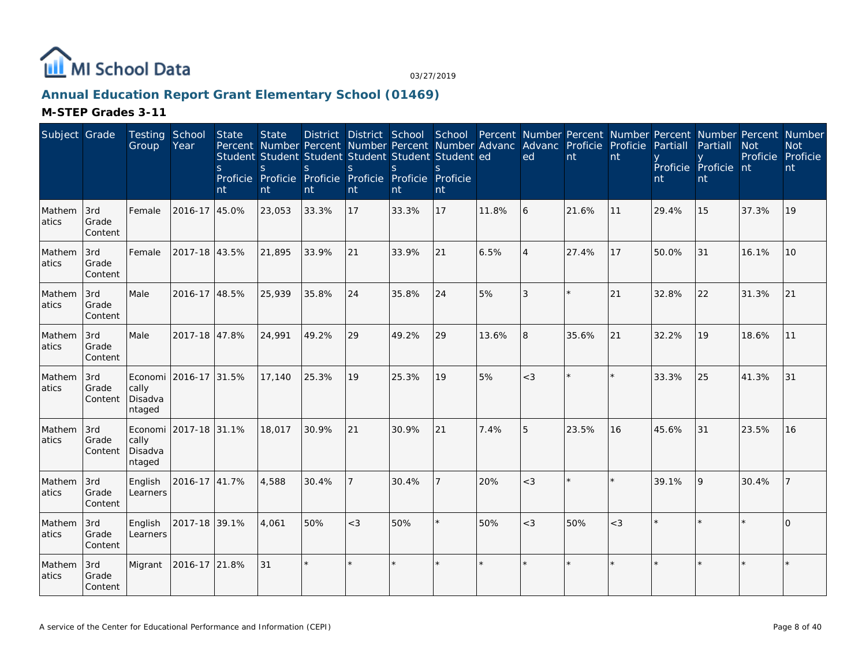

## **Annual Education Report Grant Elementary School (01469)**

| Subject Grade    |                         | Testing School<br>Group               | Year          | State<br>S.<br>nt | <b>State</b><br>Percent Number Percent Number Percent Number Advanc<br>Student Student Student Student Student Student ed<br>S.<br>Proficie Proficie Proficie Proficie Proficie Proficie<br>nt | S.<br>nt | <sub>S</sub><br>nt | <sub>S</sub><br>nt | S.<br>nt |       | District District School School Percent Number Percent Number Percent Number Percent Number<br>Advanc Proficie<br>ed | nt      | Proficie<br>nt | Partiall<br>nt | Partiall<br>Proficie Proficie nt<br>nt | <b>Not</b><br>Proficie Proficie | <b>Not</b><br>nt |
|------------------|-------------------------|---------------------------------------|---------------|-------------------|------------------------------------------------------------------------------------------------------------------------------------------------------------------------------------------------|----------|--------------------|--------------------|----------|-------|----------------------------------------------------------------------------------------------------------------------|---------|----------------|----------------|----------------------------------------|---------------------------------|------------------|
| Mathem<br>atics  | 3rd<br>Grade<br>Content | Female                                | 2016-17       | 45.0%             | 23,053                                                                                                                                                                                         | 33.3%    | 17                 | 33.3%              | 17       | 11.8% | 6                                                                                                                    | 21.6%   | 11             | 29.4%          | 15                                     | 37.3%                           | 19               |
| Mathem<br>atics  | 3rd<br>Grade<br>Content | Female                                | 2017-18 43.5% |                   | 21,895                                                                                                                                                                                         | 33.9%    | 21                 | 33.9%              | 21       | 6.5%  | $\overline{4}$                                                                                                       | 27.4%   | 17             | 50.0%          | 31                                     | 16.1%                           | 10               |
| Mathem<br>latics | 3rd<br>Grade<br>Content | Male                                  | 2016-17 48.5% |                   | 25,939                                                                                                                                                                                         | 35.8%    | 24                 | 35.8%              | 24       | 5%    | 3                                                                                                                    | $\star$ | 21             | 32.8%          | 22                                     | 31.3%                           | 21               |
| Mathem<br>atics  | 3rd<br>Grade<br>Content | Male                                  | 2017-18 47.8% |                   | 24,991                                                                                                                                                                                         | 49.2%    | 29                 | 49.2%              | 29       | 13.6% | 8                                                                                                                    | 35.6%   | 21             | 32.2%          | 19                                     | 18.6%                           | 11               |
| Mathem<br>atics  | 3rd<br>Grade<br>Content | Economi<br>cally<br>Disadva<br>ntaged | 2016-17 31.5% |                   | 17,140                                                                                                                                                                                         | 25.3%    | 19                 | 25.3%              | 19       | 5%    | $\lt3$                                                                                                               |         |                | 33.3%          | 25                                     | 41.3%                           | 31               |
| Mathem<br>atics  | 3rd<br>Grade<br>Content | Economi<br>cally<br>Disadva<br>ntaged | 2017-18 31.1% |                   | 18,017                                                                                                                                                                                         | 30.9%    | 21                 | 30.9%              | 21       | 7.4%  | 5                                                                                                                    | 23.5%   | 16             | 45.6%          | 31                                     | 23.5%                           | 16               |
| Mathem<br>atics  | 3rd<br>Grade<br>Content | English<br>Learners                   | 2016-17 41.7% |                   | 4,588                                                                                                                                                                                          | 30.4%    | 7                  | 30.4%              |          | 20%   | $<$ 3                                                                                                                |         | $\star$        | 39.1%          | $\overline{Q}$                         | 30.4%                           |                  |
| Mathem<br>atics  | 3rd<br>Grade<br>Content | English<br>Learners                   | 2017-18 39.1% |                   | 4,061                                                                                                                                                                                          | 50%      | $<$ 3              | 50%                |          | 50%   | $<$ 3                                                                                                                | 50%     | $<$ 3          |                |                                        |                                 | $\Omega$         |
| Mathem<br>atics  | 3rd<br>Grade<br>Content | Migrant                               | 2016-17 21.8% |                   | 31                                                                                                                                                                                             | $\star$  |                    |                    |          |       | $\star$                                                                                                              |         | $\star$        |                |                                        |                                 | $\star$          |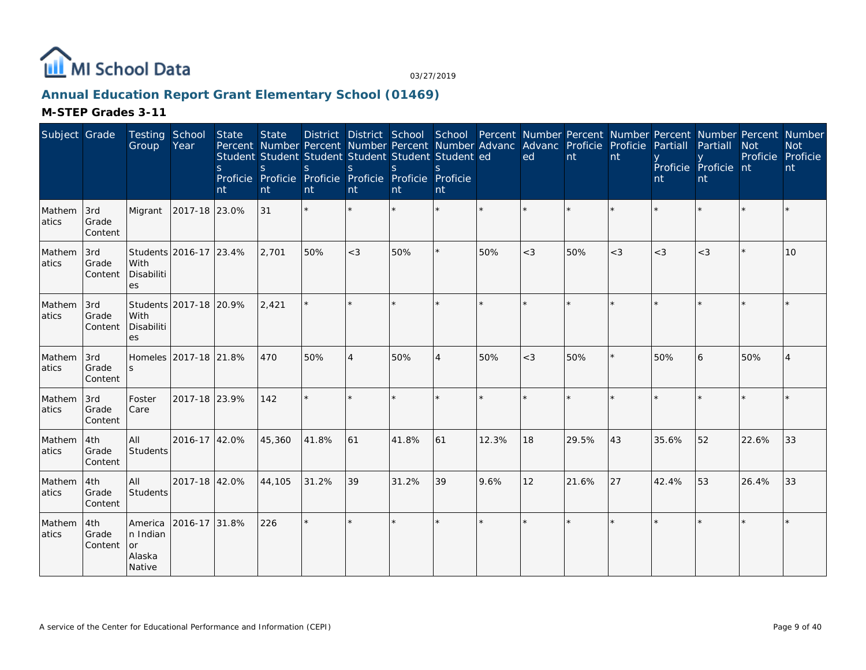

# **Annual Education Report Grant Elementary School (01469)**

| Subject Grade   |                                | Testing School<br>Group                       | Year                   | State<br><sub>S</sub><br>nt | <b>State</b><br>Percent Number Percent Number Percent Number Advanc Advanc Proficie Proficie<br>Student Student Student Student Student Student ed<br>S<br>Proficie Proficie Proficie Proficie Proficie Proficie<br>nt | <sub>S</sub><br>nt | S<br>nt        | <sub>S</sub><br>nt | <sub>S</sub><br>nt |       | District District School School Percent Number Percent Number Percent Number Percent Number<br>ed | nt    | nt    | Partiall<br>nt | Partiall<br>Proficie Proficie nt<br>nt | <b>Not</b><br>Proficie | <b>Not</b><br>Proficie<br>nt |
|-----------------|--------------------------------|-----------------------------------------------|------------------------|-----------------------------|------------------------------------------------------------------------------------------------------------------------------------------------------------------------------------------------------------------------|--------------------|----------------|--------------------|--------------------|-------|---------------------------------------------------------------------------------------------------|-------|-------|----------------|----------------------------------------|------------------------|------------------------------|
| Mathem<br>atics | 3rd<br>Grade<br>Content        | Migrant                                       | 2017-18 23.0%          |                             | 31                                                                                                                                                                                                                     |                    |                |                    |                    |       |                                                                                                   |       |       |                |                                        |                        |                              |
| Mathem<br>atics | 3rd<br>Grade<br>Content        | With<br>Disabiliti<br>es                      | Students 2016-17 23.4% |                             | 2,701                                                                                                                                                                                                                  | 50%                | $<$ 3          | 50%                |                    | 50%   | $<$ 3                                                                                             | 50%   | $<$ 3 | $<$ 3          | $<$ 3                                  |                        | 10                           |
| Mathem<br>atics | 3rd<br>Grade<br>Content        | With<br>Disabiliti<br>es                      | Students 2017-18 20.9% |                             | 2,421                                                                                                                                                                                                                  | $\star$            |                |                    |                    |       |                                                                                                   |       |       |                |                                        |                        |                              |
| Mathem<br>atics | 3rd<br><b>Grade</b><br>Content | Homeles 2017-18 21.8%<br>S.                   |                        |                             | 470                                                                                                                                                                                                                    | 50%                | $\overline{4}$ | 50%                | $\overline{4}$     | 50%   | $<$ 3                                                                                             | 50%   | ¥.    | 50%            | 6                                      | 50%                    | $\overline{4}$               |
| Mathem<br>atics | 3rd<br>Grade<br>Content        | Foster<br>Care                                | 2017-18 23.9%          |                             | 142                                                                                                                                                                                                                    |                    |                |                    |                    |       |                                                                                                   |       |       |                |                                        |                        |                              |
| Mathem<br>atics | 4th<br>Grade<br>Content        | All<br>Students                               | 2016-17 42.0%          |                             | 45,360                                                                                                                                                                                                                 | 41.8%              | 61             | 41.8%              | 61                 | 12.3% | 18                                                                                                | 29.5% | 43    | 35.6%          | 52                                     | 22.6%                  | 33                           |
| Mathem<br>atics | 4th<br>Grade<br>Content        | All<br>Students                               | 2017-18 42.0%          |                             | 44,105                                                                                                                                                                                                                 | 31.2%              | 39             | 31.2%              | 39                 | 9.6%  | 12                                                                                                | 21.6% | 27    | 42.4%          | 53                                     | 26.4%                  | 33                           |
| Mathem<br>atics | 4th<br>Grade<br>Content        | America<br>n Indian<br>or<br>Alaska<br>Native | 2016-17 31.8%          |                             | 226                                                                                                                                                                                                                    | $\star$            | $\star$        |                    |                    |       | $\star$                                                                                           |       | ÷     |                |                                        |                        | $\star$                      |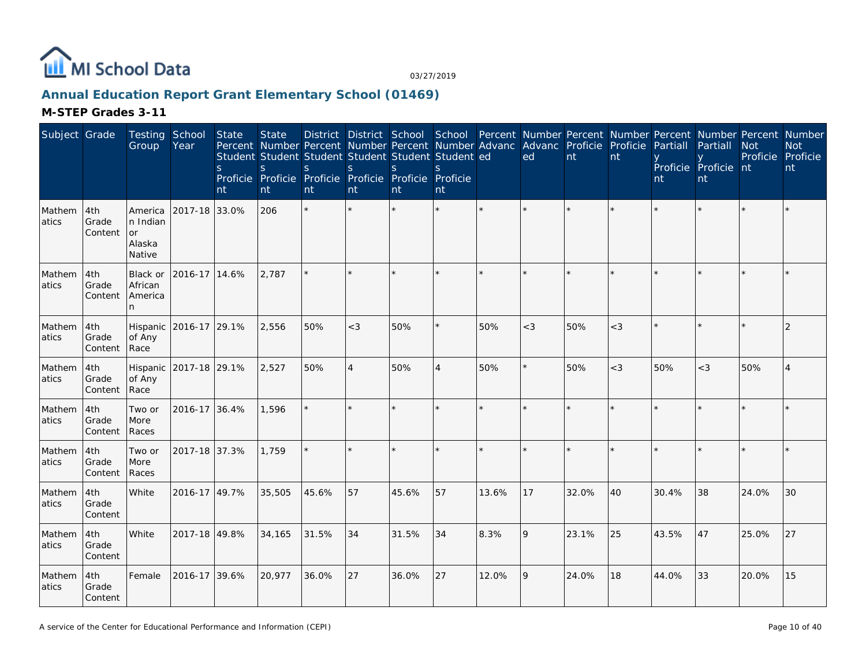

## **Annual Education Report Grant Elementary School (01469)**

| Subject Grade   |                         | Testing School<br>Group                       | Year                   | State<br>S.<br>nt | <b>State</b><br><sub>S</sub><br>nt | Percent Number Percent Number Percent Number Advanc<br>Student Student Student Student Student Student ed<br><sub>S</sub><br>Proficie Proficie Proficie Proficie Proficie<br>nt | <sub>S</sub><br>nt | <sub>S</sub><br>nt | <sub>S</sub><br>Proficie<br>nt |       | District District School School Percent Number Percent Number Percent Number Percent Number<br>ed | Advanc Proficie Proficie<br>nt | nt    | Partiall<br>nt | Partiall<br>Proficie Proficie nt<br>nt | <b>Not</b><br>Proficie Proficie | <b>Not</b><br>nt |
|-----------------|-------------------------|-----------------------------------------------|------------------------|-------------------|------------------------------------|---------------------------------------------------------------------------------------------------------------------------------------------------------------------------------|--------------------|--------------------|--------------------------------|-------|---------------------------------------------------------------------------------------------------|--------------------------------|-------|----------------|----------------------------------------|---------------------------------|------------------|
| Mathem<br>atics | 4th<br>Grade<br>Content | America<br>n Indian<br>or<br>Alaska<br>Native | 2017-18 33.0%          |                   | 206                                | $\star$                                                                                                                                                                         |                    |                    | $\star$                        |       |                                                                                                   |                                |       |                |                                        |                                 |                  |
| Mathem<br>atics | 4th<br>Grade<br>Content | Black or<br>African<br>America<br>n.          | 2016-17 14.6%          |                   | 2,787                              |                                                                                                                                                                                 |                    |                    |                                |       |                                                                                                   |                                |       |                |                                        |                                 |                  |
| Mathem<br>atics | 4th<br>Grade<br>Content | Hispanic<br>of Any<br>Race                    | 2016-17 29.1%          |                   | 2,556                              | 50%                                                                                                                                                                             | $<$ 3              | 50%                |                                | 50%   | $<$ 3                                                                                             | 50%                            | $<$ 3 |                |                                        |                                 | $\overline{2}$   |
| Mathem<br>atics | 4th<br>Grade<br>Content | of Any<br>Race                                | Hispanic 2017-18 29.1% |                   | 2,527                              | 50%                                                                                                                                                                             | $\overline{4}$     | 50%                | 4                              | 50%   | $\star$                                                                                           | 50%                            | $<$ 3 | 50%            | $<$ 3                                  | 50%                             | 4                |
| Mathem<br>atics | 4th<br>Grade<br>Content | Two or<br>More<br>Races                       | 2016-17                | 36.4%             | 1,596                              |                                                                                                                                                                                 |                    |                    |                                |       |                                                                                                   |                                |       |                |                                        |                                 |                  |
| Mathem<br>atics | 4th<br>Grade<br>Content | Two or<br>More<br>Races                       | 2017-18 37.3%          |                   | 1,759                              | $\star$                                                                                                                                                                         | $\star$            |                    |                                |       |                                                                                                   |                                |       |                |                                        |                                 |                  |
| Mathem<br>atics | 4th<br>Grade<br>Content | White                                         | 2016-17 49.7%          |                   | 35,505                             | 45.6%                                                                                                                                                                           | 57                 | 45.6%              | 57                             | 13.6% | 17                                                                                                | 32.0%                          | 40    | 30.4%          | 38                                     | 24.0%                           | 30               |
| Mathem<br>atics | 4th<br>Grade<br>Content | White                                         | 2017-18 49.8%          |                   | 34,165                             | 31.5%                                                                                                                                                                           | 34                 | 31.5%              | 34                             | 8.3%  | 9                                                                                                 | 23.1%                          | 25    | 43.5%          | 47                                     | 25.0%                           | 27               |
| Mathem<br>atics | 4th<br>Grade<br>Content | Female                                        | 2016-17 39.6%          |                   | 20,977                             | 36.0%                                                                                                                                                                           | 27                 | 36.0%              | 27                             | 12.0% | 9                                                                                                 | 24.0%                          | 18    | 44.0%          | 33                                     | 20.0%                           | 15               |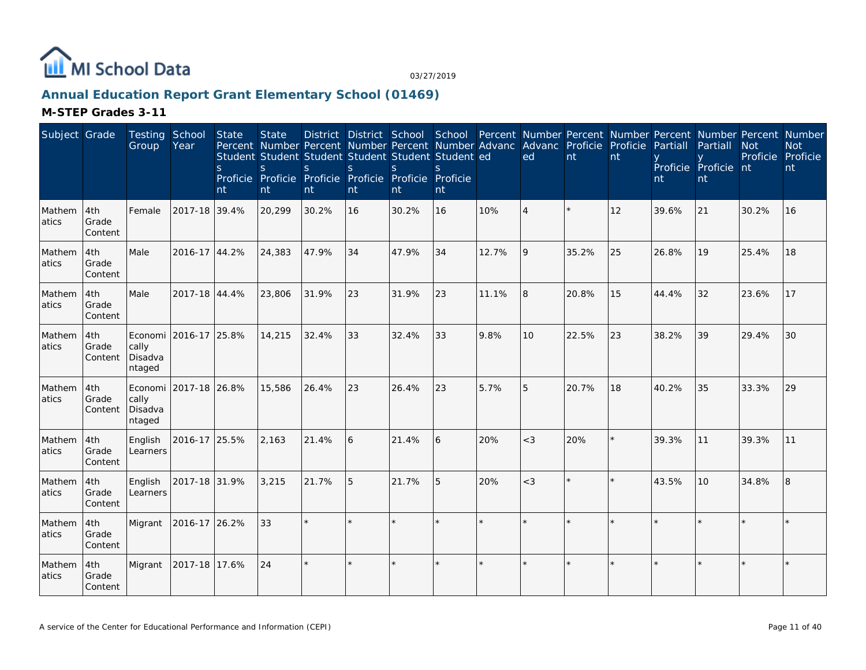

## **Annual Education Report Grant Elementary School (01469)**

| Subject Grade    |                         | Testing School<br>Group    | Year                  | State<br>S.<br>nt | <b>State</b><br>Percent Number Percent Number Percent Number Advanc<br>Student Student Student Student Student Student ed<br>S.<br>Proficie Proficie Proficie Proficie Proficie Proficie<br>nt | <sub>S</sub><br>nt | S.<br>nt | <sub>S</sub><br>nt | S.<br>nt |       | District District School School Percent Number Percent Number Percent Number Percent Number<br>Advanc Proficie<br>ed | nt    | Proficie<br>nt | Partiall<br>nt | Partiall<br>Proficie Proficie nt<br>nt | <b>Not</b><br>Proficie Proficie | <b>Not</b><br>nt |
|------------------|-------------------------|----------------------------|-----------------------|-------------------|------------------------------------------------------------------------------------------------------------------------------------------------------------------------------------------------|--------------------|----------|--------------------|----------|-------|----------------------------------------------------------------------------------------------------------------------|-------|----------------|----------------|----------------------------------------|---------------------------------|------------------|
| Mathem<br>atics  | 4th<br>Grade<br>Content | Female                     | 2017-18 39.4%         |                   | 20,299                                                                                                                                                                                         | 30.2%              | 16       | 30.2%              | 16       | 10%   | $\overline{A}$                                                                                                       |       | 12             | 39.6%          | 21                                     | 30.2%                           | 16               |
| Mathem<br>atics  | 4th<br>Grade<br>Content | Male                       | 2016-17 44.2%         |                   | 24,383                                                                                                                                                                                         | 47.9%              | 34       | 47.9%              | 34       | 12.7% | 9                                                                                                                    | 35.2% | 25             | 26.8%          | 19                                     | 25.4%                           | 18               |
| Mathem<br>latics | 4th<br>Grade<br>Content | Male                       | 2017-18 44.4%         |                   | 23,806                                                                                                                                                                                         | 31.9%              | 23       | 31.9%              | 23       | 11.1% | 8                                                                                                                    | 20.8% | 15             | 44.4%          | 32                                     | 23.6%                           | 17               |
| Mathem<br>atics  | 4th<br>Grade<br>Content | cally<br>Disadva<br>ntaged | Economi 2016-17 25.8% |                   | 14,215                                                                                                                                                                                         | 32.4%              | 33       | 32.4%              | 33       | 9.8%  | 10                                                                                                                   | 22.5% | 23             | 38.2%          | 39                                     | 29.4%                           | 30               |
| Mathem<br>atics  | 4th<br>Grade<br>Content | cally<br>Disadva<br>ntaged | Economi 2017-18 26.8% |                   | 15,586                                                                                                                                                                                         | 26.4%              | 23       | 26.4%              | 23       | 5.7%  | 5                                                                                                                    | 20.7% | 18             | 40.2%          | 35                                     | 33.3%                           | 29               |
| Mathem<br>atics  | 4th<br>Grade<br>Content | English<br>Learners        | 2016-17 25.5%         |                   | 2,163                                                                                                                                                                                          | 21.4%              | 6        | 21.4%              | 6        | 20%   | $<$ 3                                                                                                                | 20%   | $\star$        | 39.3%          | 11                                     | 39.3%                           | 11               |
| Mathem<br>atics  | 4th<br>Grade<br>Content | English<br>Learners        | 2017-18 31.9%         |                   | 3,215                                                                                                                                                                                          | 21.7%              | 5        | 21.7%              | 5        | 20%   | $<$ 3                                                                                                                |       | $\star$        | 43.5%          | 10                                     | 34.8%                           | 8                |
| Mathem<br>atics  | 4th<br>Grade<br>Content | Migrant                    | 2016-17 26.2%         |                   | 33                                                                                                                                                                                             |                    |          |                    |          |       |                                                                                                                      |       |                |                |                                        |                                 |                  |
| Mathem<br>atics  | 4th<br>Grade<br>Content | Migrant                    | 2017-18 17.6%         |                   | 24                                                                                                                                                                                             | $\star$            |          |                    |          |       | $\star$                                                                                                              |       | $\star$        |                |                                        |                                 | $\star$          |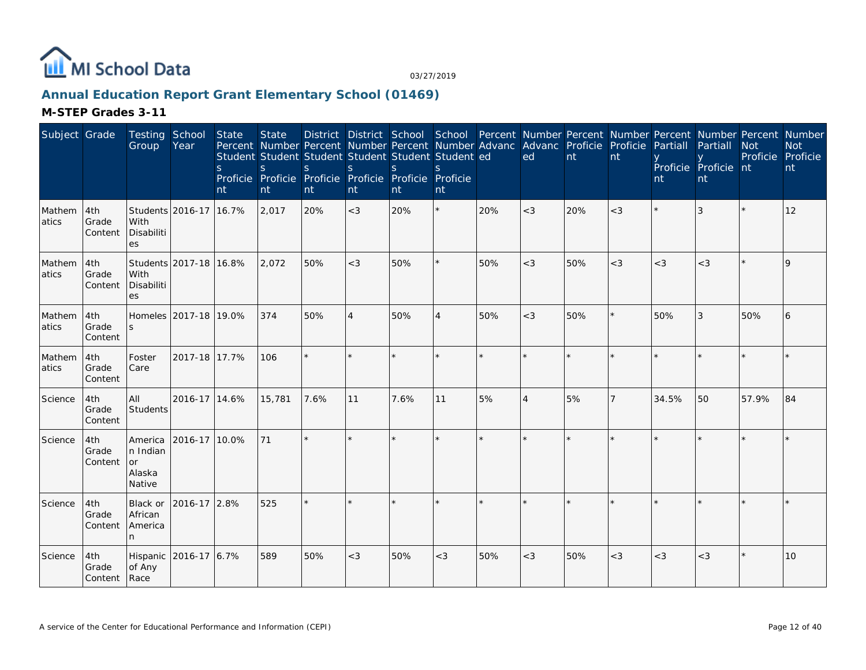

# **Annual Education Report Grant Elementary School (01469)**

| Subject Grade   |                                | Testing School<br>Group                       | Year                   | State<br><sub>S</sub><br>nt | <b>State</b><br>Percent Number Percent Number Percent Number Advanc Advanc Proficie Proficie<br>Student Student Student Student Student Student ed<br>S.<br>Proficie Proficie Proficie Proficie Proficie Proficie<br>nt | S.<br>nt | <sub>S</sub><br>nt | District District School School Percent Number Percent Number Percent Number Percent Number<br>S.<br>nt | nt             |     | ed             | nt  | nt      | Partiall<br>nt | Partiall<br>Proficie Proficie nt<br>nt | <b>Not</b><br>Proficie Proficie | <b>Not</b><br>nt |
|-----------------|--------------------------------|-----------------------------------------------|------------------------|-----------------------------|-------------------------------------------------------------------------------------------------------------------------------------------------------------------------------------------------------------------------|----------|--------------------|---------------------------------------------------------------------------------------------------------|----------------|-----|----------------|-----|---------|----------------|----------------------------------------|---------------------------------|------------------|
| Mathem<br>atics | 4th<br>Grade<br>Content        | With<br>Disabiliti<br>es                      | Students 2016-17 16.7% |                             | 2,017                                                                                                                                                                                                                   | 20%      | $<$ 3              | 20%                                                                                                     | $\star$        | 20% | $<$ 3          | 20% | $<$ 3   |                | 3                                      |                                 | 12               |
| Mathem<br>atics | 4th<br>Grade<br>Content        | With<br>Disabiliti<br>es                      | Students 2017-18 16.8% |                             | 2,072                                                                                                                                                                                                                   | 50%      | $<$ 3              | 50%                                                                                                     | *              | 50% | $<$ 3          | 50% | $<$ 3   | $<$ 3          | $<$ 3                                  |                                 | $\mathsf{Q}$     |
| Mathem<br>atics | 4th<br>Grade<br>Content        |                                               | Homeles 2017-18 19.0%  |                             | 374                                                                                                                                                                                                                     | 50%      | $\overline{4}$     | 50%                                                                                                     | $\overline{4}$ | 50% | $<$ 3          | 50% | $\star$ | 50%            | 3                                      | 50%                             | 6                |
| Mathem<br>atics | 4th<br>Grade<br>Content        | Foster<br>Care                                | 2017-18 17.7%          |                             | 106                                                                                                                                                                                                                     |          |                    |                                                                                                         |                |     |                |     |         |                |                                        |                                 |                  |
| Science         | 4th<br>Grade<br>Content        | All<br><b>Students</b>                        | 2016-17 14.6%          |                             | 15,781                                                                                                                                                                                                                  | 7.6%     | 11                 | 7.6%                                                                                                    | 11             | 5%  | $\overline{4}$ | 5%  | 7       | 34.5%          | 50                                     | 57.9%                           | 84               |
| Science         | 4th<br>Grade<br>Content        | America<br>n Indian<br>or<br>Alaska<br>Native | 2016-17 10.0%          |                             | 71                                                                                                                                                                                                                      |          |                    |                                                                                                         |                |     |                |     |         |                |                                        |                                 |                  |
| Science         | 4th<br>Grade<br>Content        | Black or<br>African<br>America<br>n           | 2016-17 2.8%           |                             | 525                                                                                                                                                                                                                     |          |                    |                                                                                                         |                |     |                |     |         |                |                                        |                                 |                  |
| Science         | 4th<br>Grade<br>Content   Race | Hispanic<br>of Any                            | 2016-17 6.7%           |                             | 589                                                                                                                                                                                                                     | 50%      | $<$ 3              | 50%                                                                                                     | $<$ 3          | 50% | $<$ 3          | 50% | $<$ 3   | $<$ 3          | $<$ 3                                  |                                 | 10               |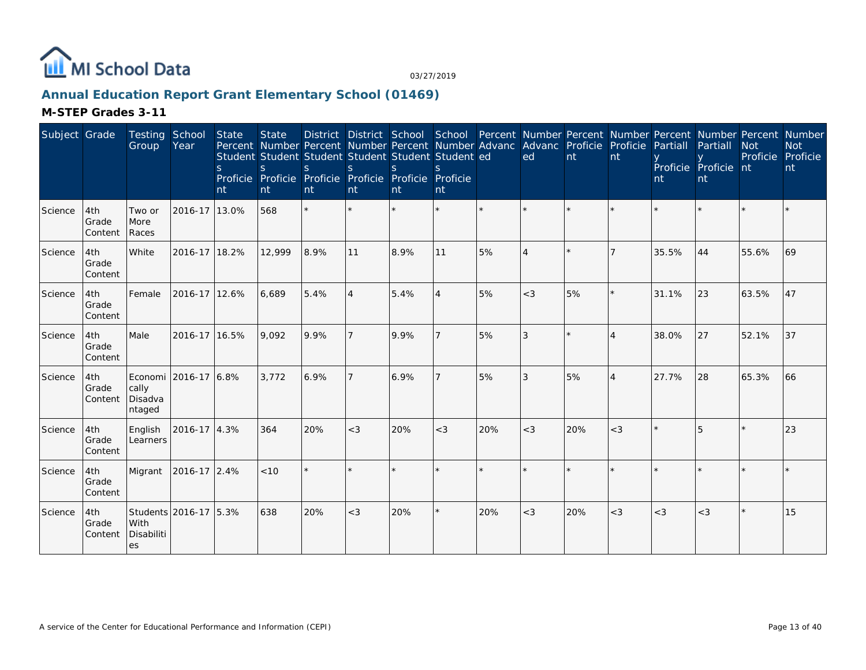

# **Annual Education Report Grant Elementary School (01469)**

| Subject Grade |                         | Testing<br>Group                      | School<br>Year        | State<br><sub>S</sub><br>nt | <b>State</b><br><sub>S</sub><br>nt | Percent Number Percent Number Percent Number Advanc<br>Student Student Student Student Student Student ed<br>S.<br>Proficie Proficie Proficie Proficie Proficie Proficie<br>nt | $\mathbf S$<br>nt | $\mathcal{S}$<br>nt | nt      |         | District District School School Percent Number Percent Number Percent Number Percent Number<br>Advanc Proficie Proficie<br>ed | nt  | nt                    | Partiall<br>nt | Partiall<br>Proficie Proficie nt<br>nt | <b>Not</b><br>Proficie Proficie | <b>Not</b><br>nt |
|---------------|-------------------------|---------------------------------------|-----------------------|-----------------------------|------------------------------------|--------------------------------------------------------------------------------------------------------------------------------------------------------------------------------|-------------------|---------------------|---------|---------|-------------------------------------------------------------------------------------------------------------------------------|-----|-----------------------|----------------|----------------------------------------|---------------------------------|------------------|
| Science       | 4th<br>Grade<br>Content | Two or<br>More<br>Races               | 2016-17 13.0%         |                             | 568                                | $\star$                                                                                                                                                                        | $\star$           | $\star$             | $\star$ | $\star$ | $\star$                                                                                                                       |     | $\star$               |                |                                        |                                 |                  |
| Science       | 4th<br>Grade<br>Content | White                                 | 2016-17 18.2%         |                             | 12,999                             | 8.9%                                                                                                                                                                           | 11                | 8.9%                | 11      | 5%      | $\overline{4}$                                                                                                                |     |                       | 35.5%          | 44                                     | 55.6%                           | 69               |
| Science       | 4th<br>Grade<br>Content | Female                                | 2016-17 12.6%         |                             | 6,689                              | 5.4%                                                                                                                                                                           | $\overline{4}$    | 5.4%                | 4       | 5%      | $<$ 3                                                                                                                         | 5%  | $\star$               | 31.1%          | 23                                     | 63.5%                           | 47               |
| Science       | 4th<br>Grade<br>Content | Male                                  | 2016-17 16.5%         |                             | 9,092                              | 9.9%                                                                                                                                                                           | $\overline{7}$    | 9.9%                |         | 5%      | 3                                                                                                                             |     | $\boldsymbol{\Delta}$ | 38.0%          | 27                                     | 52.1%                           | 37               |
| Science       | 4th<br>Grade<br>Content | Economi<br>cally<br>Disadva<br>ntaged | 2016-17 6.8%          |                             | 3,772                              | 6.9%                                                                                                                                                                           | $\overline{7}$    | 6.9%                |         | 5%      | 3                                                                                                                             | 5%  | $\overline{A}$        | 27.7%          | 28                                     | 65.3%                           | 66               |
| Science       | 4th<br>Grade<br>Content | English<br>Learners                   | 2016-17 4.3%          |                             | 364                                | 20%                                                                                                                                                                            | $<$ 3             | 20%                 | $<$ 3   | 20%     | $<$ 3                                                                                                                         | 20% | $<$ 3                 |                |                                        |                                 | 23               |
| Science       | 4th<br>Grade<br>Content | Migrant                               | 2016-17 2.4%          |                             | < 10                               | $\star$                                                                                                                                                                        |                   |                     |         |         |                                                                                                                               |     |                       |                |                                        |                                 |                  |
| Science       | 4th<br>Grade<br>Content | With<br>Disabiliti<br>es              | Students 2016-17 5.3% |                             | 638                                | 20%                                                                                                                                                                            | $<$ 3             | 20%                 | ¥.      | 20%     | $<$ 3                                                                                                                         | 20% | $<$ 3                 | $<$ 3          | $<$ 3                                  |                                 | 15               |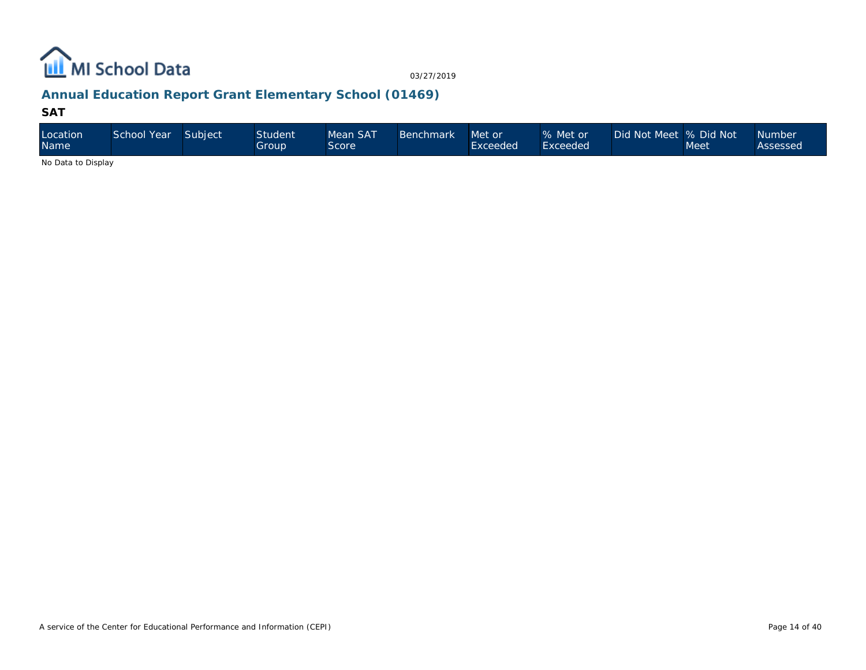

## **Annual Education Report Grant Elementary School (01469)**

#### **SAT**

| Location<br><b>Name</b> | School Year | Subject | <b>Student</b><br>Group' | Mean SAT<br>Score | Benchmark | Met or<br>Exceeded | % Met or<br>Exceeded | Did Not Meet  % Did Not | Meet | <b>Number</b><br>Assessed |
|-------------------------|-------------|---------|--------------------------|-------------------|-----------|--------------------|----------------------|-------------------------|------|---------------------------|
| No Data to Disalact     |             |         |                          |                   |           |                    |                      |                         |      |                           |

No Data to Display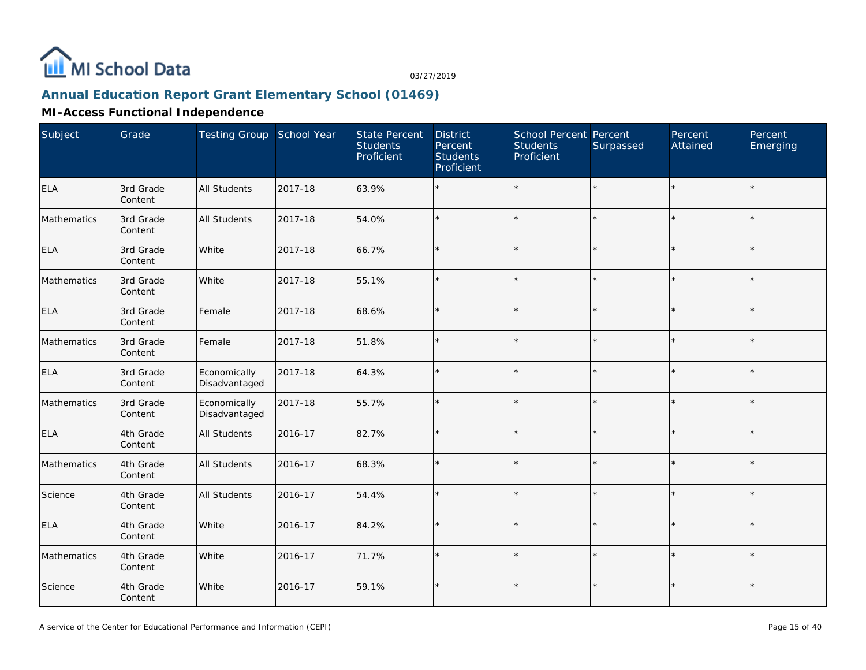

## **Annual Education Report Grant Elementary School (01469)**

#### **MI-Access Functional Independence**

| Subject     | Grade                | Testing Group School Year     |         | <b>State Percent</b><br><b>Students</b><br>Proficient | <b>District</b><br>Percent<br><b>Students</b><br>Proficient | School Percent Percent<br><b>Students</b><br>Proficient | Surpassed | Percent<br>Attained | Percent<br>Emerging |
|-------------|----------------------|-------------------------------|---------|-------------------------------------------------------|-------------------------------------------------------------|---------------------------------------------------------|-----------|---------------------|---------------------|
| <b>ELA</b>  | 3rd Grade<br>Content | All Students                  | 2017-18 | 63.9%                                                 |                                                             | $\star$                                                 | $\star$   | $\star$             | $\star$             |
| Mathematics | 3rd Grade<br>Content | <b>All Students</b>           | 2017-18 | 54.0%                                                 |                                                             | $\star$                                                 | $\star$   |                     | $\star$             |
| <b>ELA</b>  | 3rd Grade<br>Content | White                         | 2017-18 | 66.7%                                                 |                                                             | $\star$                                                 | $\star$   | $\star$             | $\star$             |
| Mathematics | 3rd Grade<br>Content | White                         | 2017-18 | 55.1%                                                 |                                                             | $\star$                                                 | $\star$   |                     | $\star$             |
| <b>ELA</b>  | 3rd Grade<br>Content | Female                        | 2017-18 | 68.6%                                                 |                                                             | $\star$                                                 | ÷.        | $\star$             | $\star$             |
| Mathematics | 3rd Grade<br>Content | Female                        | 2017-18 | 51.8%                                                 |                                                             | $\star$                                                 | $\star$   |                     | $\star$             |
| <b>ELA</b>  | 3rd Grade<br>Content | Economically<br>Disadvantaged | 2017-18 | 64.3%                                                 |                                                             | $\star$                                                 | $\star$   | $\star$             | $\star$             |
| Mathematics | 3rd Grade<br>Content | Economically<br>Disadvantaged | 2017-18 | 55.7%                                                 |                                                             | $\star$                                                 | $\star$   |                     | $\star$             |
| <b>ELA</b>  | 4th Grade<br>Content | All Students                  | 2016-17 | 82.7%                                                 |                                                             | $\star$                                                 | $\star$   | $\star$             | $\star$             |
| Mathematics | 4th Grade<br>Content | All Students                  | 2016-17 | 68.3%                                                 |                                                             | $\star$                                                 | $\star$   |                     |                     |
| Science     | 4th Grade<br>Content | <b>All Students</b>           | 2016-17 | 54.4%                                                 |                                                             | $\star$                                                 | ÷.        |                     | $\star$             |
| <b>ELA</b>  | 4th Grade<br>Content | White                         | 2016-17 | 84.2%                                                 |                                                             | $\star$                                                 | $\star$   |                     | $\star$             |
| Mathematics | 4th Grade<br>Content | White                         | 2016-17 | 71.7%                                                 |                                                             | $\star$                                                 | $\star$   | $\star$             | $\star$             |
| Science     | 4th Grade<br>Content | White                         | 2016-17 | 59.1%                                                 |                                                             | $\star$                                                 | $\star$   | $\star$             | $\star$             |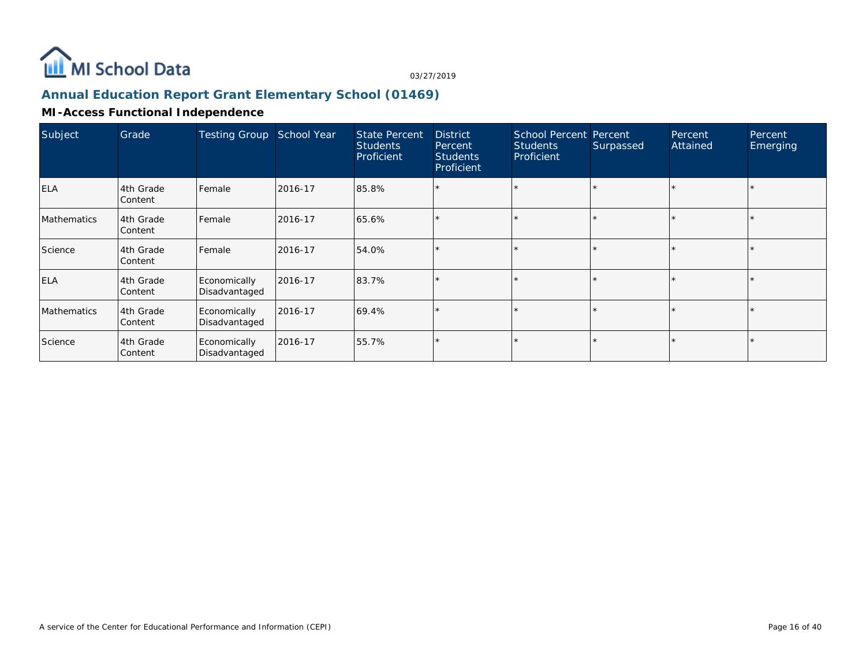

## **Annual Education Report Grant Elementary School (01469)**

#### **MI-Access Functional Independence**

| Subject     | Grade                | <b>Testing Group</b>          | School Year | <b>State Percent</b><br><b>Students</b><br>Proficient | <b>District</b><br>Percent<br><b>Students</b><br>Proficient | <b>School Percent Percent</b><br><b>Students</b><br>Proficient | Surpassed | Percent<br>Attained | Percent<br>Emerging |
|-------------|----------------------|-------------------------------|-------------|-------------------------------------------------------|-------------------------------------------------------------|----------------------------------------------------------------|-----------|---------------------|---------------------|
| <b>ELA</b>  | 4th Grade<br>Content | Female                        | 2016-17     | 85.8%                                                 | ×.                                                          |                                                                |           |                     |                     |
| Mathematics | 4th Grade<br>Content | Female                        | 2016-17     | 65.6%                                                 |                                                             |                                                                |           |                     |                     |
| Science     | 4th Grade<br>Content | Female                        | 2016-17     | 54.0%                                                 |                                                             |                                                                |           |                     |                     |
| <b>ELA</b>  | 4th Grade<br>Content | Economically<br>Disadvantaged | 2016-17     | 83.7%                                                 |                                                             |                                                                |           |                     |                     |
| Mathematics | 4th Grade<br>Content | Economically<br>Disadvantaged | 2016-17     | 69.4%                                                 |                                                             |                                                                |           |                     |                     |
| Science     | 4th Grade<br>Content | Economically<br>Disadvantaged | 2016-17     | 55.7%                                                 |                                                             |                                                                |           |                     |                     |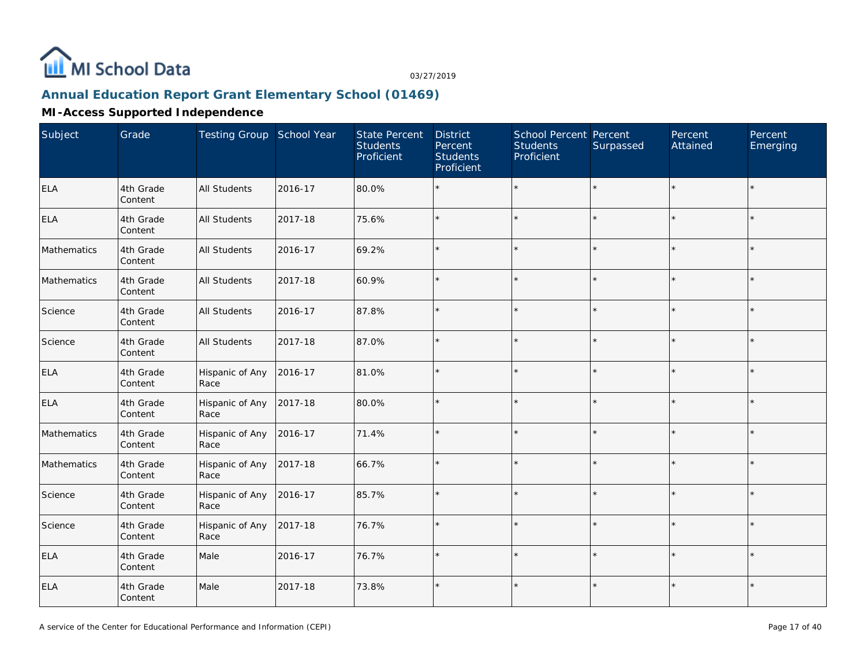

## **Annual Education Report Grant Elementary School (01469)**

#### **MI-Access Supported Independence**

| Subject     | Grade                | Testing Group School Year |         | <b>State Percent</b><br><b>Students</b><br>Proficient | <b>District</b><br>Percent<br><b>Students</b><br>Proficient | School Percent Percent<br><b>Students</b><br>Proficient | Surpassed | Percent<br>Attained | Percent<br>Emerging |
|-------------|----------------------|---------------------------|---------|-------------------------------------------------------|-------------------------------------------------------------|---------------------------------------------------------|-----------|---------------------|---------------------|
| <b>ELA</b>  | 4th Grade<br>Content | <b>All Students</b>       | 2016-17 | 80.0%                                                 |                                                             | $\star$                                                 | $\star$   | $\star$             | $\star$             |
| <b>ELA</b>  | 4th Grade<br>Content | <b>All Students</b>       | 2017-18 | 75.6%                                                 |                                                             | $\star$                                                 | $\star$   | $\star$             | $\star$             |
| Mathematics | 4th Grade<br>Content | <b>All Students</b>       | 2016-17 | 69.2%                                                 |                                                             | $\star$                                                 | $\star$   | $\star$             | $\star$             |
| Mathematics | 4th Grade<br>Content | <b>All Students</b>       | 2017-18 | 60.9%                                                 |                                                             | $\star$                                                 | $\star$   | $\star$             | $\star$             |
| Science     | 4th Grade<br>Content | <b>All Students</b>       | 2016-17 | 87.8%                                                 |                                                             | $\star$                                                 | ×.        | $\star$             | $\star$             |
| Science     | 4th Grade<br>Content | <b>All Students</b>       | 2017-18 | 87.0%                                                 |                                                             | $\star$                                                 | $\star$   | $\star$             | $\star$             |
| <b>ELA</b>  | 4th Grade<br>Content | Hispanic of Any<br>Race   | 2016-17 | 81.0%                                                 | $\star$                                                     | $\star$                                                 | $\star$   | $\star$             | $\star$             |
| <b>ELA</b>  | 4th Grade<br>Content | Hispanic of Any<br>Race   | 2017-18 | 80.0%                                                 |                                                             | $\star$                                                 | ÷.        |                     | $\star$             |
| Mathematics | 4th Grade<br>Content | Hispanic of Any<br>Race   | 2016-17 | 71.4%                                                 |                                                             | $\star$                                                 | $\star$   | $\star$             | $\star$             |
| Mathematics | 4th Grade<br>Content | Hispanic of Any<br>Race   | 2017-18 | 66.7%                                                 |                                                             | $\star$                                                 | $\star$   | $\star$             | $\star$             |
| Science     | 4th Grade<br>Content | Hispanic of Any<br>Race   | 2016-17 | 85.7%                                                 |                                                             | ÷.                                                      | ÷.        | $\star$             | $\star$             |
| Science     | 4th Grade<br>Content | Hispanic of Any<br>Race   | 2017-18 | 76.7%                                                 |                                                             | $\star$                                                 | $\star$   | $\star$             | $\star$             |
| <b>ELA</b>  | 4th Grade<br>Content | Male                      | 2016-17 | 76.7%                                                 |                                                             | $\star$                                                 | $\star$   | $\star$             | $\star$             |
| <b>ELA</b>  | 4th Grade<br>Content | Male                      | 2017-18 | 73.8%                                                 |                                                             | $\star$                                                 | $\star$   | $\star$             | $\star$             |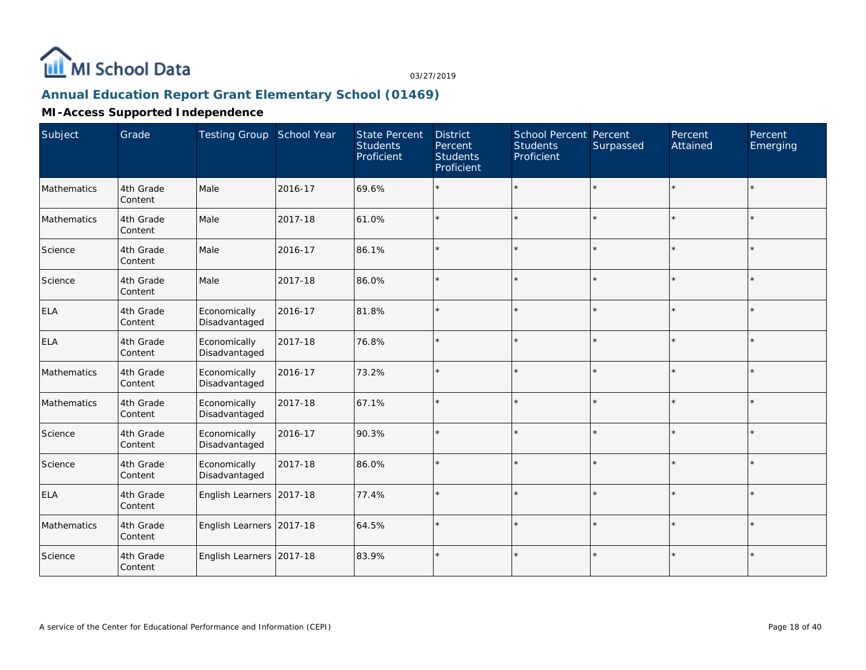

## **Annual Education Report Grant Elementary School (01469)**

#### **MI-Access Supported Independence**

| Subject     | Grade                | Testing Group School Year     |         | <b>State Percent</b><br><b>Students</b><br>Proficient | <b>District</b><br>Percent<br><b>Students</b><br>Proficient | <b>School Percent Percent</b><br><b>Students</b><br>Proficient | Surpassed | Percent<br>Attained | Percent<br>Emerging |
|-------------|----------------------|-------------------------------|---------|-------------------------------------------------------|-------------------------------------------------------------|----------------------------------------------------------------|-----------|---------------------|---------------------|
| Mathematics | 4th Grade<br>Content | Male                          | 2016-17 | 69.6%                                                 |                                                             | $\star$                                                        | $\star$   | $\star$             | $\star$             |
| Mathematics | 4th Grade<br>Content | Male                          | 2017-18 | 61.0%                                                 |                                                             | $\star$                                                        | $\star$   | $\star$             | $\star$             |
| Science     | 4th Grade<br>Content | Male                          | 2016-17 | 86.1%                                                 |                                                             | $\star$                                                        | ÷.        | $\star$             | $\star$             |
| Science     | 4th Grade<br>Content | Male                          | 2017-18 | 86.0%                                                 |                                                             | $\star$                                                        | $\star$   | $\star$             | $\star$             |
| <b>ELA</b>  | 4th Grade<br>Content | Economically<br>Disadvantaged | 2016-17 | 81.8%                                                 |                                                             | $\star$                                                        | $\star$   | $\star$             | $\star$             |
| <b>ELA</b>  | 4th Grade<br>Content | Economically<br>Disadvantaged | 2017-18 | 76.8%                                                 | $\star$                                                     | $\star$                                                        | $\star$   | $\star$             | $\star$             |
| Mathematics | 4th Grade<br>Content | Economically<br>Disadvantaged | 2016-17 | 73.2%                                                 |                                                             | $\star$                                                        | $\star$   | $\star$             | $\star$             |
| Mathematics | 4th Grade<br>Content | Economically<br>Disadvantaged | 2017-18 | 67.1%                                                 |                                                             | $\star$                                                        | $\star$   | $\Phi$              | $\star$             |
| Science     | 4th Grade<br>Content | Economically<br>Disadvantaged | 2016-17 | 90.3%                                                 |                                                             | $\star$                                                        | $\star$   |                     |                     |
| Science     | 4th Grade<br>Content | Economically<br>Disadvantaged | 2017-18 | 86.0%                                                 |                                                             | $\star$                                                        | $\star$   |                     | $\star$             |
| <b>ELA</b>  | 4th Grade<br>Content | English Learners 2017-18      |         | 77.4%                                                 |                                                             | $\star$                                                        | ÷.        |                     | $\star$             |
| Mathematics | 4th Grade<br>Content | English Learners 2017-18      |         | 64.5%                                                 | $\star$                                                     | $\star$                                                        | $\star$   | $\star$             | $\star$             |
| Science     | 4th Grade<br>Content | English Learners 2017-18      |         | 83.9%                                                 |                                                             | $\star$                                                        | $\star$   | $\star$             | $\star$             |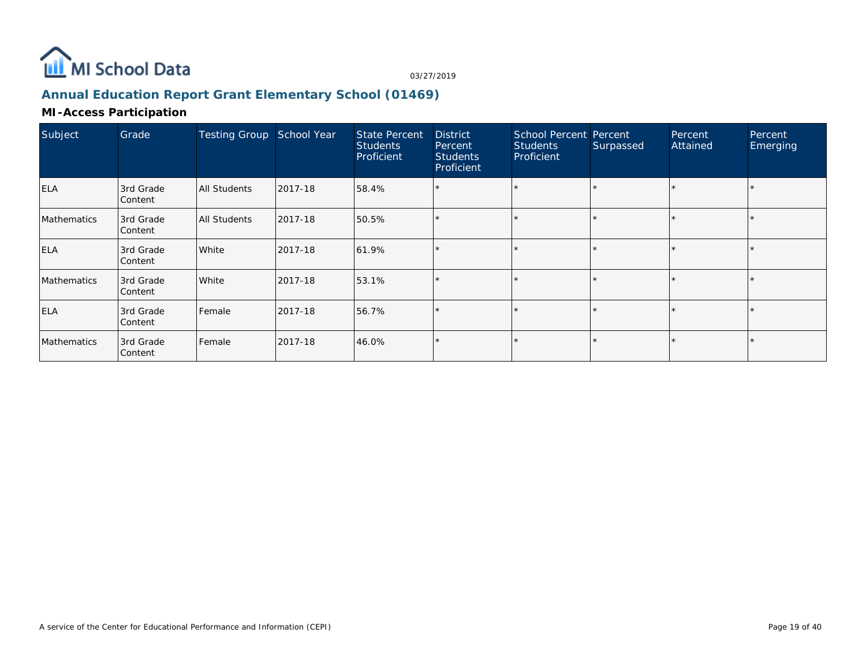

## **Annual Education Report Grant Elementary School (01469)**

#### **MI-Access Participation**

| Subject     | Grade                | <b>Testing Group</b> | School Year | <b>State Percent</b><br><b>Students</b><br>Proficient | <b>District</b><br>Percent<br><b>Students</b><br>Proficient | <b>School Percent Percent</b><br><b>Students</b><br>Proficient | Surpassed | Percent<br>Attained | Percent<br>Emerging |
|-------------|----------------------|----------------------|-------------|-------------------------------------------------------|-------------------------------------------------------------|----------------------------------------------------------------|-----------|---------------------|---------------------|
| <b>ELA</b>  | 3rd Grade<br>Content | All Students         | 2017-18     | 58.4%                                                 |                                                             |                                                                |           |                     |                     |
| Mathematics | 3rd Grade<br>Content | All Students         | 2017-18     | 50.5%                                                 |                                                             | $\star$                                                        |           | *                   |                     |
| <b>ELA</b>  | 3rd Grade<br>Content | White                | 2017-18     | 61.9%                                                 |                                                             | $\star$                                                        |           |                     |                     |
| Mathematics | 3rd Grade<br>Content | White                | 2017-18     | 53.1%                                                 |                                                             | $\star$                                                        |           |                     |                     |
| <b>ELA</b>  | 3rd Grade<br>Content | Female               | 2017-18     | 56.7%                                                 |                                                             | $\star$                                                        |           | *                   |                     |
| Mathematics | 3rd Grade<br>Content | Female               | 2017-18     | 46.0%                                                 |                                                             | $\star$                                                        |           |                     |                     |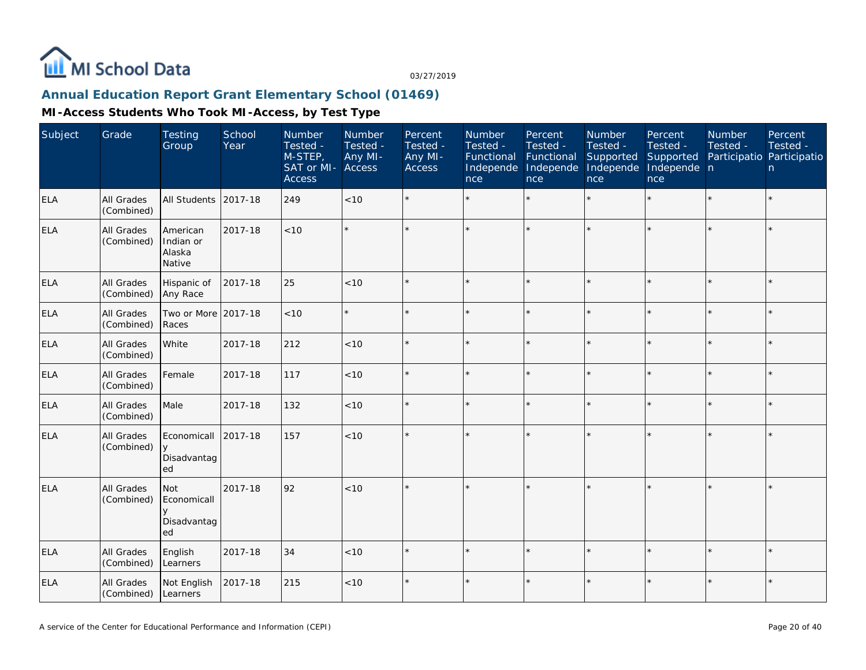

## **Annual Education Report Grant Elementary School (01469)**

| Subject    | Grade                    | <b>Testing</b><br>Group                   | School<br>Year | Number<br>Tested -<br>M-STEP,<br>SAT or MI-<br><b>Access</b> | <b>Number</b><br>Tested -<br>Any MI-<br>Access | Percent<br>Tested -<br>Any MI-<br><b>Access</b> | Number<br>Tested -<br>Functional<br>Independe<br>nce | Percent<br>Tested -<br>Functional<br>Independe<br>nce | Number<br>Tested -<br>Supported<br>Independe<br>nce | Percent<br>Tested -<br>Supported<br>Independe n<br>nce | Number<br>Tested -<br>Participatio Participatio | Percent<br>Tested -<br>n |
|------------|--------------------------|-------------------------------------------|----------------|--------------------------------------------------------------|------------------------------------------------|-------------------------------------------------|------------------------------------------------------|-------------------------------------------------------|-----------------------------------------------------|--------------------------------------------------------|-------------------------------------------------|--------------------------|
| <b>ELA</b> | All Grades<br>(Combined) | All Students                              | 2017-18        | 249                                                          | <10                                            | $\star$                                         |                                                      |                                                       | ÷.                                                  |                                                        |                                                 | $\star$                  |
| <b>ELA</b> | All Grades<br>(Combined) | American<br>Indian or<br>Alaska<br>Native | 2017-18        | < 10                                                         |                                                |                                                 |                                                      |                                                       | ÷                                                   | $\star$                                                |                                                 | $\star$                  |
| <b>ELA</b> | All Grades<br>(Combined) | Hispanic of<br>Any Race                   | 2017-18        | 25                                                           | < 10                                           |                                                 |                                                      |                                                       |                                                     |                                                        |                                                 | $\star$                  |
| <b>ELA</b> | All Grades<br>(Combined) | Two or More 2017-18<br>Races              |                | < 10                                                         |                                                |                                                 |                                                      | ÷                                                     | ų.                                                  | ×.                                                     |                                                 | $\star$                  |
| <b>ELA</b> | All Grades<br>(Combined) | White                                     | 2017-18        | 212                                                          | < 10                                           |                                                 |                                                      |                                                       | ÷                                                   | ×.                                                     |                                                 | $\star$                  |
| <b>ELA</b> | All Grades<br>(Combined) | Female                                    | 2017-18        | 117                                                          | < 10                                           |                                                 |                                                      |                                                       |                                                     |                                                        |                                                 | $\star$                  |
| <b>ELA</b> | All Grades<br>(Combined) | Male                                      | 2017-18        | 132                                                          | < 10                                           |                                                 |                                                      | $\star$                                               | ų.                                                  | $\star$                                                | $\star$                                         | $\star$                  |
| ELA        | All Grades<br>(Combined) | Economicall<br>y<br>Disadvantag<br>ed     | 2017-18        | 157                                                          | < 10                                           |                                                 |                                                      |                                                       |                                                     | ×.                                                     |                                                 | $\star$                  |
| ELA        | All Grades<br>(Combined) | Not<br>Economicall<br>Disadvantag<br>ed   | 2017-18        | 92                                                           | < 10                                           |                                                 |                                                      |                                                       |                                                     | ÷                                                      |                                                 | $\star$                  |
| <b>ELA</b> | All Grades<br>(Combined) | English<br>Learners                       | 2017-18        | 34                                                           | < 10                                           |                                                 |                                                      |                                                       | ÷                                                   | ×.                                                     | $\star$                                         | ÷.                       |
| ELA        | All Grades<br>(Combined) | Not English<br>Learners                   | 2017-18        | 215                                                          | $<10$                                          |                                                 | $\star$                                              |                                                       | $\star$                                             | $\star$                                                | $\star$                                         | $\star$                  |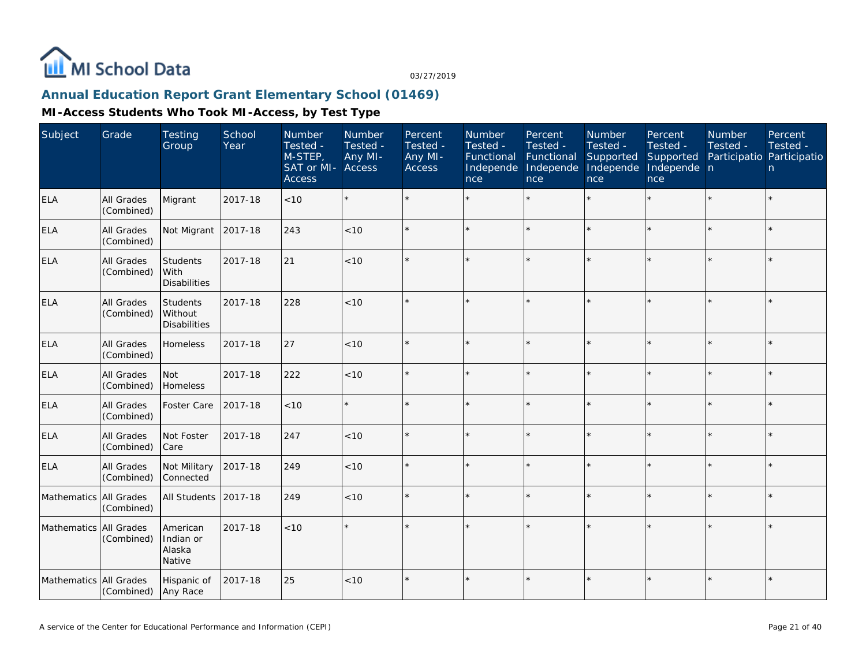

## **Annual Education Report Grant Elementary School (01469)**

| Subject                | Grade                           | <b>Testing</b><br>Group                           | School<br>Year | Number<br>Tested -<br>M-STEP,<br>SAT or MI-<br><b>Access</b> | Number<br>Tested -<br>Any MI-<br>Access | Percent<br>Tested -<br>Any MI-<br><b>Access</b> | Number<br>Tested -<br>Functional<br>Independe<br>nce | Percent<br>Tested -<br>Functional<br>Independe<br>nce | Number<br>Tested -<br>Supported<br>Independe<br>nce | Percent<br>Tested -<br>Supported<br>Independe n<br>nce | Number<br>Tested -<br>Participatio Participatio | Percent<br>Tested -<br>n |
|------------------------|---------------------------------|---------------------------------------------------|----------------|--------------------------------------------------------------|-----------------------------------------|-------------------------------------------------|------------------------------------------------------|-------------------------------------------------------|-----------------------------------------------------|--------------------------------------------------------|-------------------------------------------------|--------------------------|
| <b>ELA</b>             | All Grades<br>(Combined)        | Migrant                                           | 2017-18        | $<10$                                                        |                                         |                                                 |                                                      | $\star$                                               | $\star$                                             |                                                        |                                                 | $\star$                  |
| <b>ELA</b>             | All Grades<br>(Combined)        | Not Migrant                                       | 2017-18        | 243                                                          | < 10                                    | $\star$                                         |                                                      | $\star$                                               |                                                     |                                                        |                                                 | $\star$                  |
| <b>ELA</b>             | <b>All Grades</b><br>(Combined) | <b>Students</b><br>With<br><b>Disabilities</b>    | 2017-18        | 21                                                           | < 10                                    |                                                 |                                                      | $\star$                                               | ÷                                                   |                                                        |                                                 | ÷.                       |
| ELA                    | All Grades<br>(Combined)        | <b>Students</b><br>Without<br><b>Disabilities</b> | 2017-18        | 228                                                          | < 10                                    | $\star$                                         |                                                      | $\star$                                               | ÷                                                   |                                                        |                                                 | $\star$                  |
| <b>ELA</b>             | All Grades<br>(Combined)        | Homeless                                          | 2017-18        | 27                                                           | < 10                                    | $\star$                                         | $\star$                                              | $\star$                                               | $\star$                                             |                                                        | $\star$                                         | $\star$                  |
| <b>ELA</b>             | All Grades<br>(Combined)        | Not<br>Homeless                                   | 2017-18        | 222                                                          | < 10                                    |                                                 |                                                      | $\star$                                               | ÷                                                   |                                                        |                                                 | $\star$                  |
| <b>ELA</b>             | All Grades<br>(Combined)        | Foster Care                                       | 2017-18        | < 10                                                         |                                         | $\star$                                         |                                                      | $\star$                                               |                                                     |                                                        |                                                 | $\star$                  |
| <b>ELA</b>             | All Grades<br>(Combined)        | Not Foster<br>Care                                | 2017-18        | 247                                                          | < 10                                    |                                                 |                                                      | $\star$                                               |                                                     |                                                        |                                                 | $\star$                  |
| <b>ELA</b>             | All Grades<br>(Combined)        | Not Military<br>Connected                         | 2017-18        | 249                                                          | < 10                                    | $\star$                                         |                                                      | $\star$                                               | ÷                                                   |                                                        |                                                 | $\star$                  |
| Mathematics All Grades | (Combined)                      | All Students                                      | 2017-18        | 249                                                          | < 10                                    |                                                 |                                                      | $\star$                                               |                                                     |                                                        |                                                 | $\star$                  |
| Mathematics All Grades | (Combined)                      | American<br>Indian or<br>Alaska<br>Native         | 2017-18        | $<10$                                                        |                                         |                                                 |                                                      |                                                       |                                                     |                                                        |                                                 | $\star$                  |
| Mathematics All Grades | (Combined)                      | Hispanic of<br>Any Race                           | 2017-18        | 25                                                           | < 10                                    |                                                 |                                                      |                                                       | ý,                                                  |                                                        |                                                 | $\star$                  |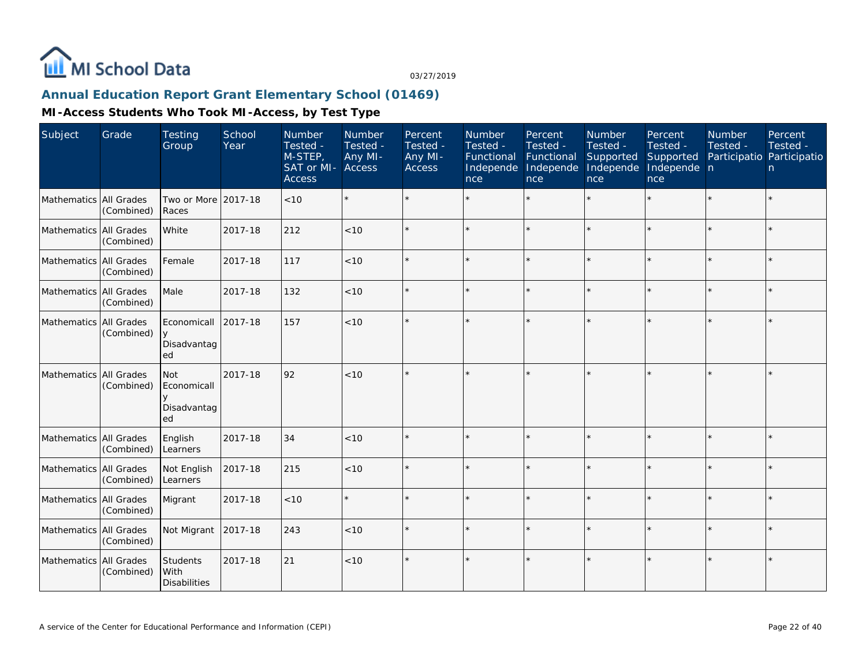

## **Annual Education Report Grant Elementary School (01469)**

| Subject                | Grade                    | <b>Testing</b><br>Group                 | School<br>Year | Number<br>Tested -<br>M-STEP,<br>SAT or MI-<br><b>Access</b> | Number<br>Tested -<br>Any MI-<br>Access | Percent<br>Tested -<br>Any MI-<br><b>Access</b> | Number<br>Tested -<br>Functional<br>Independe<br>nce | Percent<br>Tested -<br>Functional<br>Independe<br>nce | <b>Number</b><br>Tested -<br>Supported<br>Independe<br>nce | Percent<br>Tested -<br>Supported<br>Independe n<br>nce | <b>Number</b><br>Tested -<br>Participatio Participatio | Percent<br>Tested -<br>n. |
|------------------------|--------------------------|-----------------------------------------|----------------|--------------------------------------------------------------|-----------------------------------------|-------------------------------------------------|------------------------------------------------------|-------------------------------------------------------|------------------------------------------------------------|--------------------------------------------------------|--------------------------------------------------------|---------------------------|
| Mathematics All Grades | (Combined)               | Two or More<br>Races                    | 2017-18        | < 10                                                         |                                         |                                                 |                                                      |                                                       |                                                            |                                                        |                                                        | $\star$                   |
| Mathematics All Grades | (Combined)               | White                                   | 2017-18        | 212                                                          | < 10                                    |                                                 |                                                      |                                                       | $\star$                                                    | ×.                                                     |                                                        | $\star$                   |
| Mathematics All Grades | (Combined)               | Female                                  | 2017-18        | 117                                                          | $<10$                                   |                                                 |                                                      |                                                       |                                                            | ÷                                                      |                                                        | $\star$                   |
| Mathematics All Grades | (Combined)               | Male                                    | 2017-18        | 132                                                          | < 10                                    |                                                 |                                                      |                                                       |                                                            |                                                        |                                                        | $\star$                   |
| Mathematics All Grades | (Combined)               | Economicall<br>Disadvantag<br>ed        | 2017-18        | 157                                                          | < 10                                    |                                                 |                                                      |                                                       |                                                            |                                                        |                                                        | $\star$                   |
| Mathematics All Grades | (Combined)               | Not<br>Economicall<br>Disadvantag<br>ed | 2017-18        | 92                                                           | < 10                                    |                                                 |                                                      |                                                       |                                                            |                                                        |                                                        | $\star$                   |
| Mathematics            | All Grades<br>(Combined) | English<br>Learners                     | 2017-18        | 34                                                           | < 10                                    |                                                 |                                                      |                                                       |                                                            |                                                        |                                                        | $\star$                   |
| Mathematics All Grades | (Combined)               | Not English<br>Learners                 | 2017-18        | 215                                                          | < 10                                    |                                                 |                                                      |                                                       |                                                            |                                                        |                                                        | $\star$                   |
| Mathematics All Grades | (Combined)               | Migrant                                 | 2017-18        | < 10                                                         |                                         |                                                 |                                                      |                                                       |                                                            |                                                        |                                                        | $\star$                   |
| Mathematics All Grades | (Combined)               | Not Migrant                             | 2017-18        | 243                                                          | < 10                                    |                                                 |                                                      |                                                       |                                                            |                                                        |                                                        | $\star$                   |
| Mathematics All Grades | (Combined)               | Students<br>With<br><b>Disabilities</b> | 2017-18        | 21                                                           | < 10                                    |                                                 |                                                      |                                                       |                                                            |                                                        |                                                        | $\star$                   |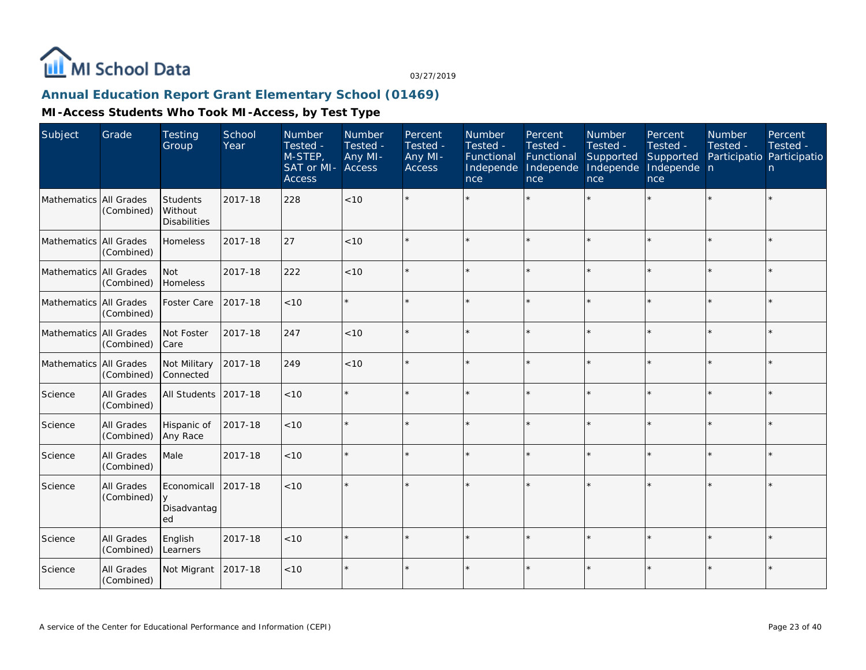

# **Annual Education Report Grant Elementary School (01469)**

| Subject                | Grade                    | <b>Testing</b><br>Group                    | School<br>Year | Number<br>Tested -<br>M-STEP,<br>SAT or MI-<br><b>Access</b> | Number<br>Tested -<br>Any MI-<br><b>Access</b> | Percent<br>Tested -<br>Any MI-<br>Access | Number<br>Tested -<br>Functional<br>Independe<br>nce | Percent<br>Tested -<br>Functional<br>Independe<br>nce | Number<br>Tested -<br>Supported<br>Independe<br>nce | Percent<br>Tested -<br>Supported<br>Independe n<br>nce | Number<br>Tested -<br>Participatio Participatio | Percent<br>Tested -<br>n |
|------------------------|--------------------------|--------------------------------------------|----------------|--------------------------------------------------------------|------------------------------------------------|------------------------------------------|------------------------------------------------------|-------------------------------------------------------|-----------------------------------------------------|--------------------------------------------------------|-------------------------------------------------|--------------------------|
| Mathematics All Grades | (Combined)               | Students<br>Without<br><b>Disabilities</b> | 2017-18        | 228                                                          | < 10                                           |                                          |                                                      |                                                       |                                                     |                                                        |                                                 |                          |
| Mathematics All Grades | (Combined)               | Homeless                                   | 2017-18        | 27                                                           | < 10                                           |                                          |                                                      |                                                       |                                                     |                                                        | $\star$                                         | ¥                        |
| Mathematics All Grades | (Combined)               | <b>Not</b><br>Homeless                     | 2017-18        | 222                                                          | < 10                                           |                                          |                                                      |                                                       |                                                     |                                                        |                                                 | $\star$                  |
| Mathematics All Grades | (Combined)               | Foster Care                                | 2017-18        | < 10                                                         |                                                |                                          |                                                      |                                                       |                                                     |                                                        |                                                 | $\star$                  |
| Mathematics All Grades | (Combined)               | Not Foster<br>l Care                       | 2017-18        | 247                                                          | < 10                                           |                                          |                                                      |                                                       |                                                     |                                                        |                                                 | ÷.                       |
| Mathematics All Grades | (Combined)               | Not Military<br>Connected                  | 2017-18        | 249                                                          | < 10                                           |                                          |                                                      |                                                       |                                                     |                                                        |                                                 | $\star$                  |
| Science                | All Grades<br>(Combined) | <b>All Students</b>                        | 2017-18        | < 10                                                         | $\star$                                        |                                          |                                                      | $\star$                                               |                                                     |                                                        |                                                 | $\star$                  |
| Science                | All Grades<br>(Combined) | Hispanic of<br>Any Race                    | 2017-18        | < 10                                                         | $\star$                                        |                                          |                                                      | $\star$                                               |                                                     |                                                        | ×.                                              | $\star$                  |
| Science                | All Grades<br>(Combined) | Male                                       | 2017-18        | < 10                                                         |                                                |                                          |                                                      | $\star$                                               |                                                     |                                                        | $\star$                                         | $\star$                  |
| Science                | All Grades<br>(Combined) | Economicall<br>y<br>Disadvantag<br>ed      | 2017-18        | < 10                                                         | $\star$                                        |                                          |                                                      |                                                       |                                                     |                                                        | ×.                                              | $\star$                  |
| Science                | All Grades<br>(Combined) | English<br>Learners                        | 2017-18        | < 10                                                         |                                                |                                          |                                                      |                                                       |                                                     |                                                        | $\star$                                         | $\star$                  |
| Science                | All Grades<br>(Combined) | Not Migrant                                | 2017-18        | < 10                                                         | $\star$                                        |                                          |                                                      |                                                       |                                                     |                                                        | $\star$                                         | $\star$                  |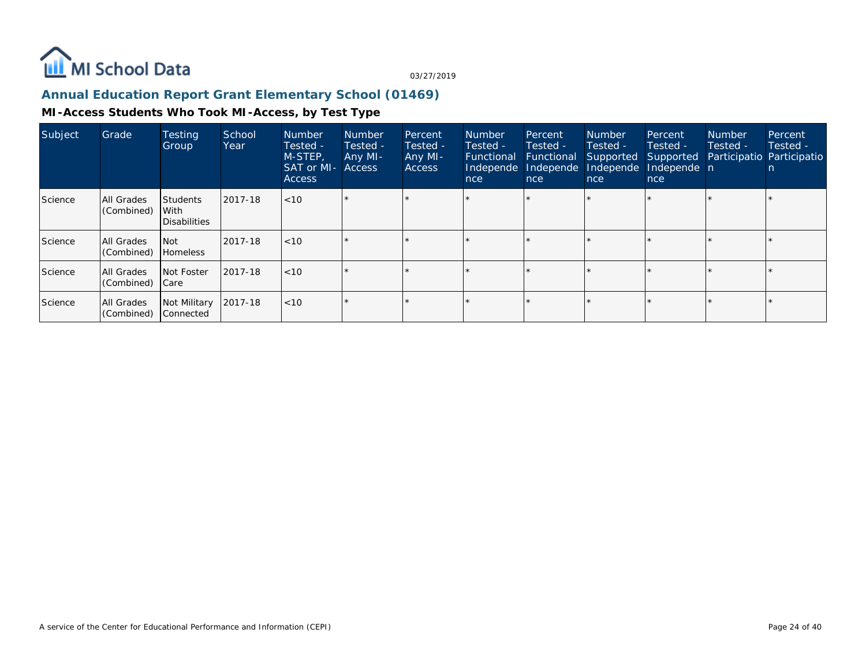

## **Annual Education Report Grant Elementary School (01469)**

| Subject | Grade                    | <b>Testing</b><br>Group                 | School<br>Year | <b>Number</b><br>Tested -<br>M-STEP,<br><b>SAT or MI- Access</b><br><b>Access</b> | <b>Number</b><br>Tested -<br>Any MI- | Percent<br>Tested -<br>Any MI-<br><b>Access</b> | Number<br>Tested -<br>Functional<br>Independe<br>nce | Percent<br>Tested -<br>Functional<br>Independe<br>nce | <b>Number</b><br>Tested -<br>Supported<br>Independe<br>nce | Percent<br>Tested -<br>Supported<br>Independe n<br>nce | <b>Number</b><br>Tested -<br>Participatio Participatio | Percent<br>Tested - |
|---------|--------------------------|-----------------------------------------|----------------|-----------------------------------------------------------------------------------|--------------------------------------|-------------------------------------------------|------------------------------------------------------|-------------------------------------------------------|------------------------------------------------------------|--------------------------------------------------------|--------------------------------------------------------|---------------------|
| Science | All Grades<br>(Combined) | <b>Students</b><br>With<br>Disabilities | 2017-18        | $ $ < 10                                                                          |                                      |                                                 |                                                      | $\star$                                               |                                                            |                                                        |                                                        |                     |
| Science | All Grades<br>(Combined) | l Not<br><b>Homeless</b>                | 2017-18        | $ $ < 10                                                                          |                                      |                                                 |                                                      |                                                       |                                                            |                                                        |                                                        |                     |
| Science | All Grades<br>(Combined) | Not Foster<br>  Care                    | 2017-18        | $ $ < 10                                                                          |                                      |                                                 |                                                      | $\star$                                               |                                                            |                                                        |                                                        |                     |
| Science | All Grades<br>(Combined) | Not Military<br>Connected               | 2017-18        | $ $ < 10                                                                          |                                      |                                                 |                                                      | $\star$                                               |                                                            |                                                        |                                                        |                     |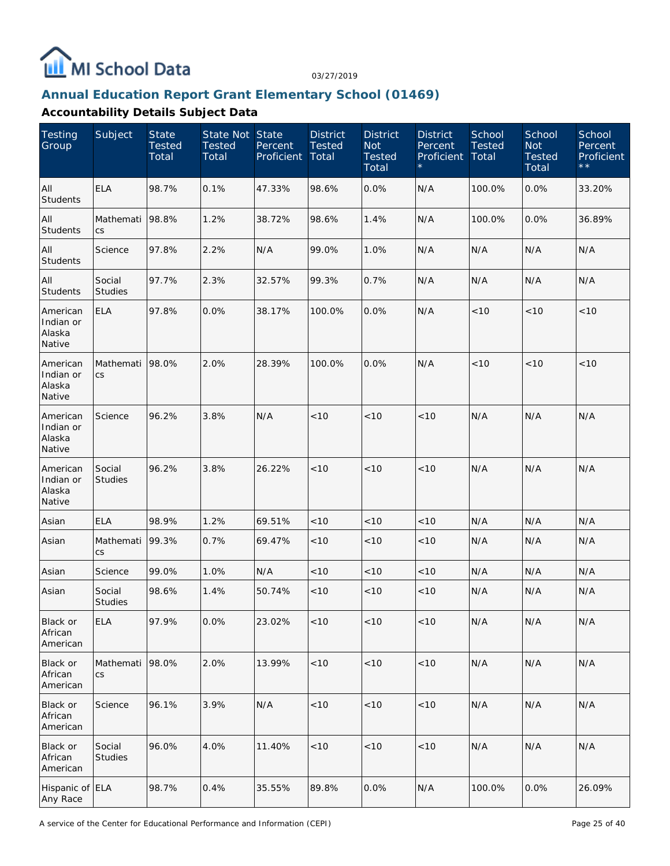

#### **Annual Education Report Grant Elementary School (01469)**

| Testing<br>Group                          | Subject                  | <b>State</b><br><b>Tested</b><br>Total | State Not State<br><b>Tested</b><br>Total | Percent<br>Proficient | <b>District</b><br>Tested<br>Total | <b>District</b><br><b>Not</b><br><b>Tested</b><br>Total | <b>District</b><br>Percent<br>Proficient | School<br><b>Tested</b><br>Total | School<br><b>Not</b><br><b>Tested</b><br>Total | School<br>Percent<br>Proficient<br>$\star\star$ |
|-------------------------------------------|--------------------------|----------------------------------------|-------------------------------------------|-----------------------|------------------------------------|---------------------------------------------------------|------------------------------------------|----------------------------------|------------------------------------------------|-------------------------------------------------|
| All<br><b>Students</b>                    | <b>ELA</b>               | 98.7%                                  | 0.1%                                      | 47.33%                | 98.6%                              | 0.0%                                                    | N/A                                      | 100.0%                           | 0.0%                                           | 33.20%                                          |
| All<br><b>Students</b>                    | Mathemati<br>CS          | 98.8%                                  | 1.2%                                      | 38.72%                | 98.6%                              | 1.4%                                                    | N/A                                      | 100.0%                           | 0.0%                                           | 36.89%                                          |
| All<br>Students                           | Science                  | 97.8%                                  | 2.2%                                      | N/A                   | 99.0%                              | 1.0%                                                    | N/A                                      | N/A                              | N/A                                            | N/A                                             |
| All<br>Students                           | Social<br><b>Studies</b> | 97.7%                                  | 2.3%                                      | 32.57%                | 99.3%                              | 0.7%                                                    | N/A                                      | N/A                              | N/A                                            | N/A                                             |
| American<br>Indian or<br>Alaska<br>Native | <b>ELA</b>               | 97.8%                                  | 0.0%                                      | 38.17%                | 100.0%                             | 0.0%                                                    | N/A                                      | < 10                             | $<10$                                          | < 10                                            |
| American<br>Indian or<br>Alaska<br>Native | Mathemati<br>CS          | 98.0%                                  | 2.0%                                      | 28.39%                | 100.0%                             | 0.0%                                                    | N/A                                      | < 10                             | < 10                                           | < 10                                            |
| American<br>Indian or<br>Alaska<br>Native | Science                  | 96.2%                                  | 3.8%                                      | N/A                   | < 10                               | < 10                                                    | < 10                                     | N/A                              | N/A                                            | N/A                                             |
| American<br>Indian or<br>Alaska<br>Native | Social<br><b>Studies</b> | 96.2%                                  | 3.8%                                      | 26.22%                | < 10                               | < 10                                                    | < 10                                     | N/A                              | N/A                                            | N/A                                             |
| Asian                                     | <b>ELA</b>               | 98.9%                                  | 1.2%                                      | 69.51%                | < 10                               | < 10                                                    | < 10                                     | N/A                              | N/A                                            | N/A                                             |
| Asian                                     | Mathemati<br>CS          | 99.3%                                  | 0.7%                                      | 69.47%                | < 10                               | < 10                                                    | < 10                                     | N/A                              | N/A                                            | N/A                                             |
| Asian                                     | Science                  | 99.0%                                  | 1.0%                                      | N/A                   | $<10$                              | < 10                                                    | < 10                                     | N/A                              | N/A                                            | N/A                                             |
| Asian                                     | Social<br><b>Studies</b> | 98.6%                                  | 1.4%                                      | 50.74%                | < 10                               | $<10$                                                   | < 10                                     | N/A                              | N/A                                            | N/A                                             |
| Black or<br>African<br>American           | <b>ELA</b>               | 97.9%                                  | 0.0%                                      | 23.02%                | < 10                               | < 10                                                    | < 10                                     | N/A                              | N/A                                            | N/A                                             |
| Black or<br>African<br>American           | Mathemati<br><b>CS</b>   | 98.0%                                  | 2.0%                                      | 13.99%                | < 10                               | < 10                                                    | <10                                      | N/A                              | N/A                                            | N/A                                             |
| Black or<br>African<br>American           | Science                  | 96.1%                                  | 3.9%                                      | N/A                   | < 10                               | < 10                                                    | <10                                      | N/A                              | N/A                                            | N/A                                             |
| Black or<br>African<br>American           | Social<br>Studies        | 96.0%                                  | 4.0%                                      | 11.40%                | < 10                               | $<10$                                                   | < 10                                     | N/A                              | N/A                                            | N/A                                             |
| Hispanic of ELA<br>Any Race               |                          | 98.7%                                  | 0.4%                                      | 35.55%                | 89.8%                              | 0.0%                                                    | N/A                                      | 100.0%                           | 0.0%                                           | 26.09%                                          |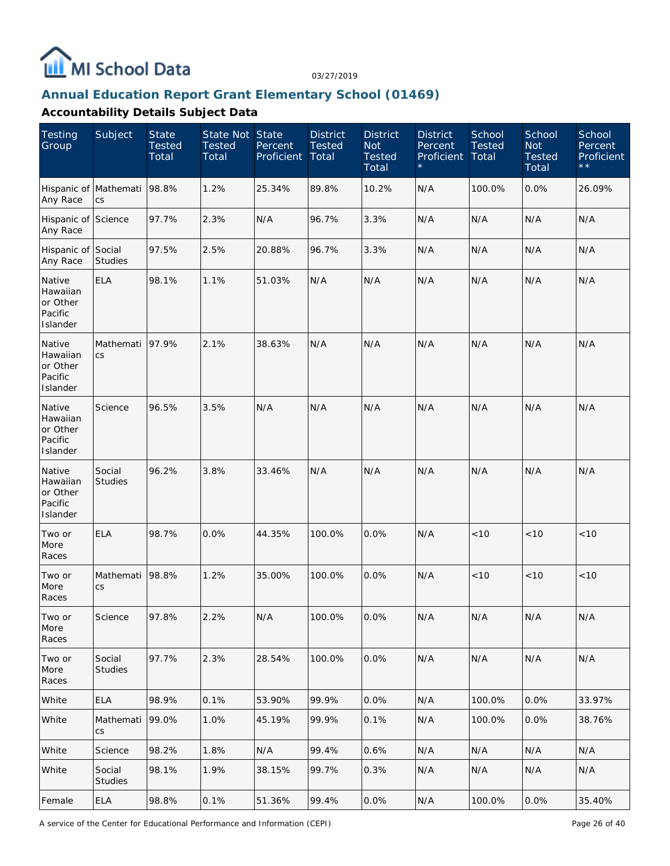

#### **Annual Education Report Grant Elementary School (01469)**

| <b>Testing</b><br>Group                               | Subject                  | <b>State</b><br><b>Tested</b><br>Total | State Not State<br><b>Tested</b><br>Total | Percent<br>Proficient | <b>District</b><br><b>Tested</b><br>Total | <b>District</b><br><b>Not</b><br><b>Tested</b><br>Total | <b>District</b><br>Percent<br>Proficient | School<br><b>Tested</b><br>Total | School<br><b>Not</b><br><b>Tested</b><br>Total | School<br>Percent<br>Proficient<br>$\star\star$ |
|-------------------------------------------------------|--------------------------|----------------------------------------|-------------------------------------------|-----------------------|-------------------------------------------|---------------------------------------------------------|------------------------------------------|----------------------------------|------------------------------------------------|-------------------------------------------------|
| Hispanic of Mathemati<br>Any Race                     | CS                       | 98.8%                                  | 1.2%                                      | 25.34%                | 89.8%                                     | 10.2%                                                   | N/A                                      | 100.0%                           | 0.0%                                           | 26.09%                                          |
| Hispanic of Science<br>Any Race                       |                          | 97.7%                                  | 2.3%                                      | N/A                   | 96.7%                                     | 3.3%                                                    | N/A                                      | N/A                              | N/A                                            | N/A                                             |
| Hispanic of Social<br>Any Race                        | <b>Studies</b>           | 97.5%                                  | 2.5%                                      | 20.88%                | 96.7%                                     | 3.3%                                                    | N/A                                      | N/A                              | N/A                                            | N/A                                             |
| Native<br>Hawaiian<br>or Other<br>Pacific<br>Islander | <b>ELA</b>               | 98.1%                                  | 1.1%                                      | 51.03%                | N/A                                       | N/A                                                     | N/A                                      | N/A                              | N/A                                            | N/A                                             |
| Native<br>Hawaiian<br>or Other<br>Pacific<br>Islander | Mathemati<br>CS          | 97.9%                                  | 2.1%                                      | 38.63%                | N/A                                       | N/A                                                     | N/A                                      | N/A                              | N/A                                            | N/A                                             |
| Native<br>Hawaiian<br>or Other<br>Pacific<br>Islander | Science                  | 96.5%                                  | 3.5%                                      | N/A                   | N/A                                       | N/A                                                     | N/A                                      | N/A                              | N/A                                            | N/A                                             |
| Native<br>Hawaiian<br>or Other<br>Pacific<br>Islander | Social<br><b>Studies</b> | 96.2%                                  | 3.8%                                      | 33.46%                | N/A                                       | N/A                                                     | N/A                                      | N/A                              | N/A                                            | N/A                                             |
| Two or<br>More<br>Races                               | <b>ELA</b>               | 98.7%                                  | 0.0%                                      | 44.35%                | 100.0%                                    | 0.0%                                                    | N/A                                      | < 10                             | < 10                                           | < 10                                            |
| Two or<br>More<br>Races                               | Mathemati<br>CS          | 98.8%                                  | 1.2%                                      | 35.00%                | 100.0%                                    | 0.0%                                                    | N/A                                      | < 10                             | < 10                                           | < 10                                            |
| Two or<br>More<br>Races                               | Science                  | 97.8%                                  | 2.2%                                      | N/A                   | 100.0%                                    | 0.0%                                                    | N/A                                      | N/A                              | N/A                                            | N/A                                             |
| Two or<br>More<br>Races                               | Social<br><b>Studies</b> | 97.7%                                  | 2.3%                                      | 28.54%                | 100.0%                                    | 0.0%                                                    | N/A                                      | N/A                              | N/A                                            | N/A                                             |
| White                                                 | <b>ELA</b>               | 98.9%                                  | 0.1%                                      | 53.90%                | 99.9%                                     | 0.0%                                                    | N/A                                      | 100.0%                           | 0.0%                                           | 33.97%                                          |
| White                                                 | Mathemati<br>CS          | 99.0%                                  | 1.0%                                      | 45.19%                | 99.9%                                     | 0.1%                                                    | N/A                                      | 100.0%                           | 0.0%                                           | 38.76%                                          |
| White                                                 | Science                  | 98.2%                                  | 1.8%                                      | N/A                   | 99.4%                                     | 0.6%                                                    | N/A                                      | N/A                              | N/A                                            | N/A                                             |
| White                                                 | Social<br><b>Studies</b> | 98.1%                                  | 1.9%                                      | 38.15%                | 99.7%                                     | 0.3%                                                    | N/A                                      | N/A                              | N/A                                            | N/A                                             |
| Female                                                | <b>ELA</b>               | 98.8%                                  | 0.1%                                      | 51.36%                | 99.4%                                     | 0.0%                                                    | N/A                                      | 100.0%                           | 0.0%                                           | 35.40%                                          |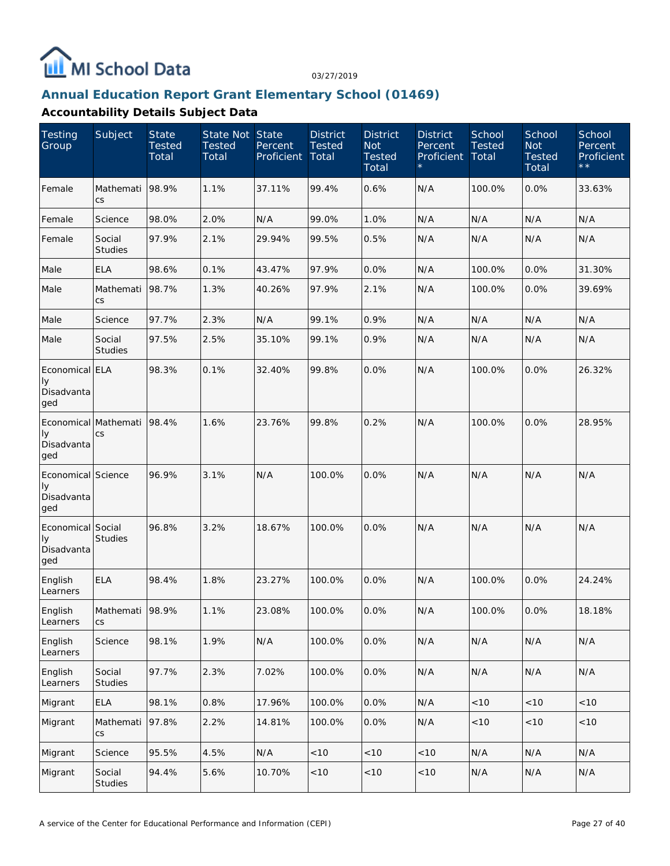

#### **Annual Education Report Grant Elementary School (01469)**

| <b>Testing</b><br>Group                       | Subject                            | <b>State</b><br><b>Tested</b><br>Total | State Not State<br><b>Tested</b><br>Total | Percent<br>Proficient | <b>District</b><br><b>Tested</b><br>Total | <b>District</b><br><b>Not</b><br><b>Tested</b><br>Total | <b>District</b><br>Percent<br>Proficient | School<br><b>Tested</b><br>Total | School<br><b>Not</b><br><b>Tested</b><br>Total | School<br>Percent<br>Proficient<br>$\star\star$ |
|-----------------------------------------------|------------------------------------|----------------------------------------|-------------------------------------------|-----------------------|-------------------------------------------|---------------------------------------------------------|------------------------------------------|----------------------------------|------------------------------------------------|-------------------------------------------------|
| Female                                        | Mathemati<br>$\mathsf{CS}\,$       | 98.9%                                  | 1.1%                                      | 37.11%                | 99.4%                                     | 0.6%                                                    | N/A                                      | 100.0%                           | 0.0%                                           | 33.63%                                          |
| Female                                        | Science                            | 98.0%                                  | 2.0%                                      | N/A                   | 99.0%                                     | 1.0%                                                    | N/A                                      | N/A                              | N/A                                            | N/A                                             |
| Female                                        | Social<br><b>Studies</b>           | 97.9%                                  | 2.1%                                      | 29.94%                | 99.5%                                     | 0.5%                                                    | N/A                                      | N/A                              | N/A                                            | N/A                                             |
| Male                                          | <b>ELA</b>                         | 98.6%                                  | 0.1%                                      | 43.47%                | 97.9%                                     | 0.0%                                                    | N/A                                      | 100.0%                           | 0.0%                                           | 31.30%                                          |
| Male                                          | Mathemati<br>CS                    | 98.7%                                  | 1.3%                                      | 40.26%                | 97.9%                                     | 2.1%                                                    | N/A                                      | 100.0%                           | 0.0%                                           | 39.69%                                          |
| Male                                          | Science                            | 97.7%                                  | 2.3%                                      | N/A                   | 99.1%                                     | 0.9%                                                    | N/A                                      | N/A                              | N/A                                            | N/A                                             |
| Male                                          | Social<br><b>Studies</b>           | 97.5%                                  | 2.5%                                      | 35.10%                | 99.1%                                     | 0.9%                                                    | N/A                                      | N/A                              | N/A                                            | N/A                                             |
| Economical ELA<br>Iу<br>Disadvanta<br>ged     |                                    | 98.3%                                  | 0.1%                                      | 32.40%                | 99.8%                                     | 0.0%                                                    | N/A                                      | 100.0%                           | 0.0%                                           | 26.32%                                          |
| Iу<br>Disadvanta<br>ged                       | Economical Mathemati 98.4%<br>CS   |                                        | 1.6%                                      | 23.76%                | 99.8%                                     | 0.2%                                                    | N/A                                      | 100.0%                           | 0.0%                                           | 28.95%                                          |
| Economical Science<br>Iу<br>Disadvanta<br>ged |                                    | 96.9%                                  | 3.1%                                      | N/A                   | 100.0%                                    | 0.0%                                                    | N/A                                      | N/A                              | N/A                                            | N/A                                             |
| Economical Social<br>Iу<br>Disadvanta<br>ged  | <b>Studies</b>                     | 96.8%                                  | 3.2%                                      | 18.67%                | 100.0%                                    | 0.0%                                                    | N/A                                      | N/A                              | N/A                                            | N/A                                             |
| English<br>Learners                           | <b>ELA</b>                         | 98.4%                                  | 1.8%                                      | 23.27%                | 100.0%                                    | 0.0%                                                    | N/A                                      | 100.0%                           | 0.0%                                           | 24.24%                                          |
| English<br>Learners                           | Mathemati 98.9%<br>$\mathsf{CS}\,$ |                                        | 1.1%                                      | 23.08%                | 100.0%                                    | 0.0%                                                    | N/A                                      | 100.0%                           | 0.0%                                           | 18.18%                                          |
| English<br>Learners                           | Science                            | 98.1%                                  | 1.9%                                      | N/A                   | 100.0%                                    | 0.0%                                                    | N/A                                      | N/A                              | N/A                                            | N/A                                             |
| English<br>Learners                           | Social<br>Studies                  | 97.7%                                  | 2.3%                                      | 7.02%                 | 100.0%                                    | 0.0%                                                    | N/A                                      | N/A                              | N/A                                            | N/A                                             |
| Migrant                                       | ELA                                | 98.1%                                  | 0.8%                                      | 17.96%                | 100.0%                                    | 0.0%                                                    | N/A                                      | $<10$                            | $<10$                                          | < 10                                            |
| Migrant                                       | Mathemati<br><b>CS</b>             | 97.8%                                  | 2.2%                                      | 14.81%                | 100.0%                                    | 0.0%                                                    | N/A                                      | $<10$                            | $<10$                                          | $<10$                                           |
| Migrant                                       | Science                            | 95.5%                                  | 4.5%                                      | N/A                   | <10                                       | < 10                                                    | < 10                                     | N/A                              | N/A                                            | N/A                                             |
| Migrant                                       | Social<br>Studies                  | 94.4%                                  | 5.6%                                      | 10.70%                | < 10                                      | $<10$                                                   | < 10                                     | N/A                              | N/A                                            | N/A                                             |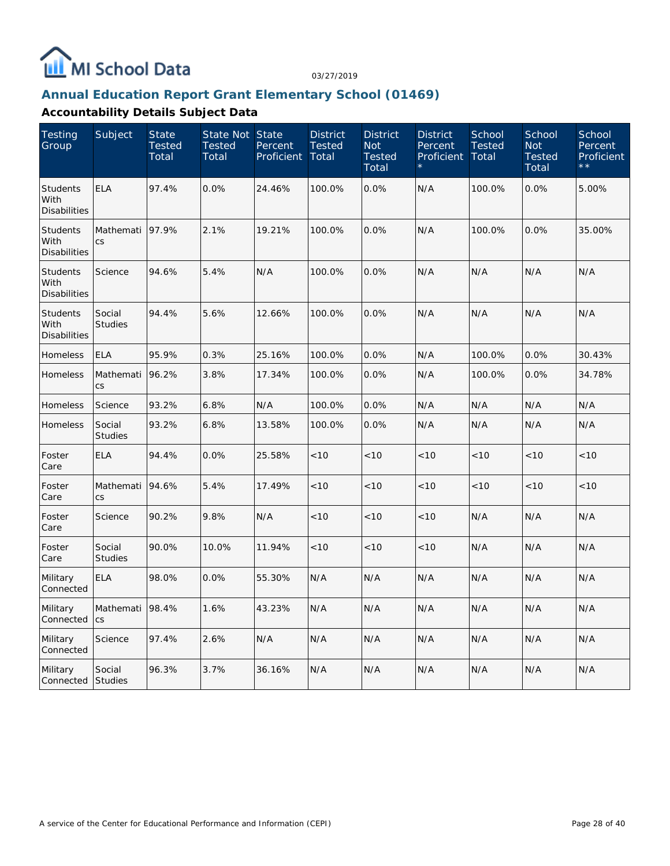

#### **Annual Education Report Grant Elementary School (01469)**

| <b>Testing</b><br>Group                        | Subject                  | <b>State</b><br><b>Tested</b><br>Total | State Not State<br><b>Tested</b><br>Total | Percent<br>Proficient | <b>District</b><br><b>Tested</b><br>Total | <b>District</b><br><b>Not</b><br><b>Tested</b><br>Total | <b>District</b><br>Percent<br>Proficient | School<br><b>Tested</b><br>Total | School<br><b>Not</b><br><b>Tested</b><br>Total | School<br>Percent<br>Proficient |
|------------------------------------------------|--------------------------|----------------------------------------|-------------------------------------------|-----------------------|-------------------------------------------|---------------------------------------------------------|------------------------------------------|----------------------------------|------------------------------------------------|---------------------------------|
| <b>Students</b><br>With<br><b>Disabilities</b> | <b>ELA</b>               | 97.4%                                  | 0.0%                                      | 24.46%                | 100.0%                                    | 0.0%                                                    | N/A                                      | 100.0%                           | 0.0%                                           | 5.00%                           |
| <b>Students</b><br>With<br><b>Disabilities</b> | Mathemati<br><b>CS</b>   | 97.9%                                  | 2.1%                                      | 19.21%                | 100.0%                                    | 0.0%                                                    | N/A                                      | 100.0%                           | 0.0%                                           | 35.00%                          |
| Students<br>With<br><b>Disabilities</b>        | Science                  | 94.6%                                  | 5.4%                                      | N/A                   | 100.0%                                    | 0.0%                                                    | N/A                                      | N/A                              | N/A                                            | N/A                             |
| <b>Students</b><br>With<br><b>Disabilities</b> | Social<br><b>Studies</b> | 94.4%                                  | 5.6%                                      | 12.66%                | 100.0%                                    | 0.0%                                                    | N/A                                      | N/A                              | N/A                                            | N/A                             |
| Homeless                                       | <b>ELA</b>               | 95.9%                                  | 0.3%                                      | 25.16%                | 100.0%                                    | 0.0%                                                    | N/A                                      | 100.0%                           | 0.0%                                           | 30.43%                          |
| Homeless                                       | Mathemati<br><b>CS</b>   | 96.2%                                  | 3.8%                                      | 17.34%                | 100.0%                                    | 0.0%                                                    | N/A                                      | 100.0%                           | 0.0%                                           | 34.78%                          |
| Homeless                                       | Science                  | 93.2%                                  | 6.8%                                      | N/A                   | 100.0%                                    | 0.0%                                                    | N/A                                      | N/A                              | N/A                                            | N/A                             |
| Homeless                                       | Social<br><b>Studies</b> | 93.2%                                  | 6.8%                                      | 13.58%                | 100.0%                                    | 0.0%                                                    | N/A                                      | N/A                              | N/A                                            | N/A                             |
| Foster<br>Care                                 | <b>ELA</b>               | 94.4%                                  | 0.0%                                      | 25.58%                | < 10                                      | < 10                                                    | < 10                                     | < 10                             | < 10                                           | < 10                            |
| Foster<br>Care                                 | Mathemati<br><b>CS</b>   | 94.6%                                  | 5.4%                                      | 17.49%                | < 10                                      | < 10                                                    | < 10                                     | < 10                             | < 10                                           | < 10                            |
| Foster<br>Care                                 | Science                  | 90.2%                                  | 9.8%                                      | N/A                   | < 10                                      | < 10                                                    | < 10                                     | N/A                              | N/A                                            | N/A                             |
| Foster<br>Care                                 | Social<br><b>Studies</b> | 90.0%                                  | 10.0%                                     | 11.94%                | < 10                                      | < 10                                                    | < 10                                     | N/A                              | N/A                                            | N/A                             |
| Military<br>Connected                          | <b>ELA</b>               | 98.0%                                  | 0.0%                                      | 55.30%                | N/A                                       | N/A                                                     | N/A                                      | N/A                              | N/A                                            | N/A                             |
| Military<br>Connected                          | Mathemati<br><b>CS</b>   | 98.4%                                  | 1.6%                                      | 43.23%                | N/A                                       | N/A                                                     | N/A                                      | N/A                              | N/A                                            | N/A                             |
| Military<br>Connected                          | Science                  | 97.4%                                  | 2.6%                                      | N/A                   | N/A                                       | N/A                                                     | N/A                                      | N/A                              | N/A                                            | N/A                             |
| Military<br>Connected                          | Social<br><b>Studies</b> | 96.3%                                  | 3.7%                                      | 36.16%                | N/A                                       | N/A                                                     | N/A                                      | N/A                              | N/A                                            | N/A                             |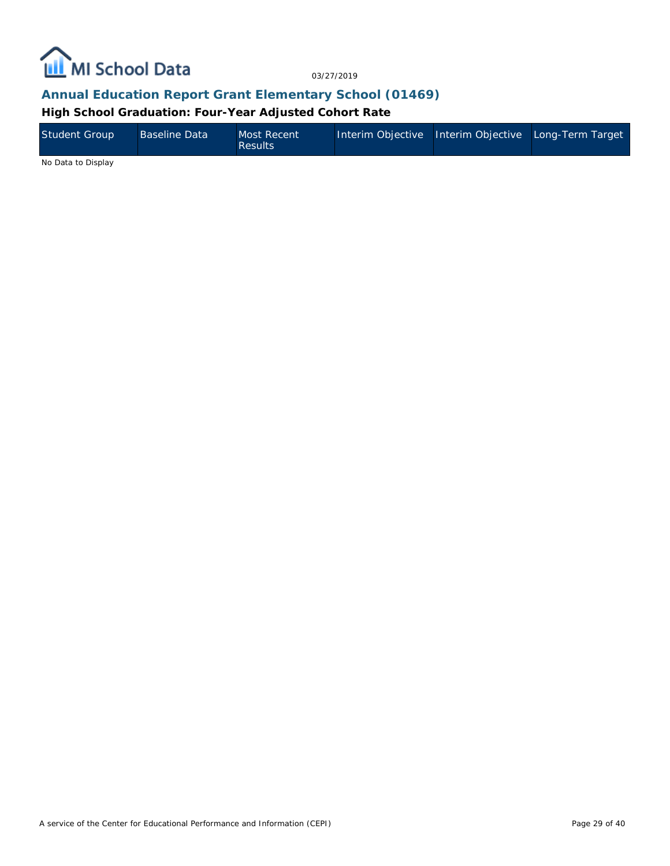

#### **Annual Education Report Grant Elementary School (01469)**

**High School Graduation: Four-Year Adjusted Cohort Rate**

| <b>Student Group</b> | <b>Baseline Data</b> | Most Recent<br><b>Results</b> | Interim Objective Interim Objective Long-Term Target |  |
|----------------------|----------------------|-------------------------------|------------------------------------------------------|--|
|                      |                      |                               |                                                      |  |

No Data to Display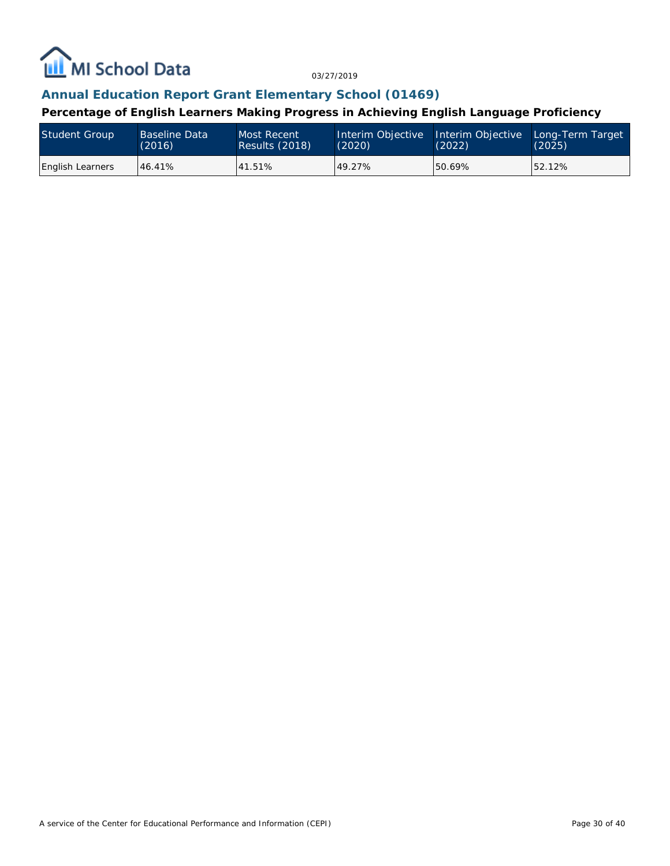

#### **Annual Education Report Grant Elementary School (01469)**

**Percentage of English Learners Making Progress in Achieving English Language Proficiency**

| <b>Student Group</b>    | <b>Baseline Data</b> | Most Recent           | Interim Objective | Interim Objective | Long-Term Target |
|-------------------------|----------------------|-----------------------|-------------------|-------------------|------------------|
|                         | (2016)               | <b>Results (2018)</b> | (2020)            | (2022)            | (2025)           |
| <b>English Learners</b> | 46.41%               | 41.51%                | 49.27%            | 50.69%            | 52.12%           |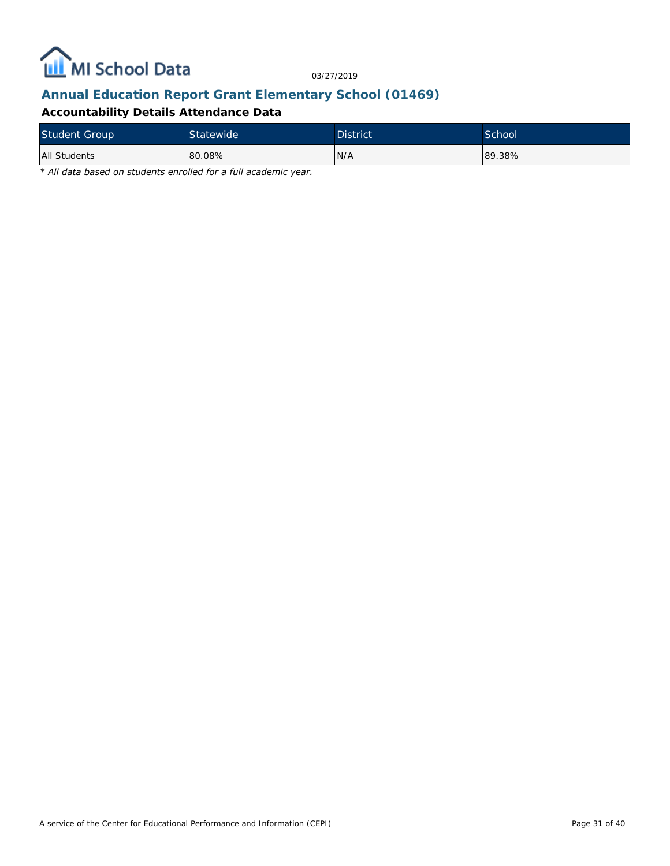

## **Annual Education Report Grant Elementary School (01469)**

#### **Accountability Details Attendance Data**

| <b>Student Group</b> | Statewide | District <sup>'</sup> | School |
|----------------------|-----------|-----------------------|--------|
| All Students         | 80.08%    | IN/A                  | 89.38% |

*\* All data based on students enrolled for a full academic year.*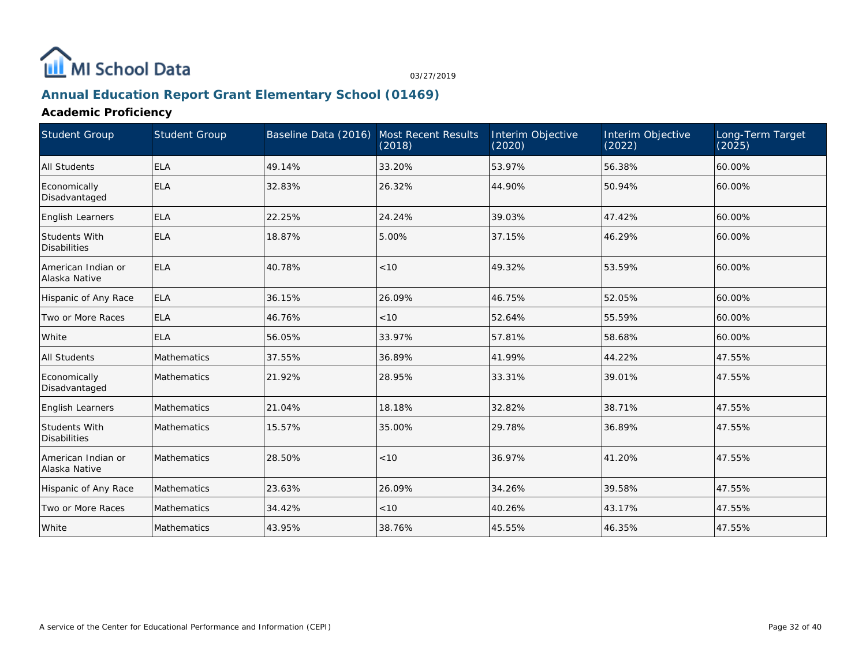

## **Annual Education Report Grant Elementary School (01469)**

**Academic Proficiency**

| Student Group                               | <b>Student Group</b> | Baseline Data (2016) Most Recent Results | (2018) | Interim Objective<br>(2020) | Interim Objective<br>(2022) | Long-Term Target<br>(2025) |
|---------------------------------------------|----------------------|------------------------------------------|--------|-----------------------------|-----------------------------|----------------------------|
| All Students                                | <b>ELA</b>           | 49.14%                                   | 33.20% | 53.97%                      | 56.38%                      | 60.00%                     |
| Economically<br>Disadvantaged               | <b>ELA</b>           | 32.83%                                   | 26.32% | 44.90%                      | 50.94%                      | 60.00%                     |
| <b>English Learners</b>                     | <b>ELA</b>           | 22.25%                                   | 24.24% | 39.03%                      | 47.42%                      | 60.00%                     |
| <b>Students With</b><br><b>Disabilities</b> | <b>ELA</b>           | 18.87%                                   | 5.00%  | 37.15%                      | 46.29%                      | 60.00%                     |
| American Indian or<br>Alaska Native         | <b>ELA</b>           | 40.78%                                   | < 10   | 49.32%                      | 53.59%                      | 60.00%                     |
| Hispanic of Any Race                        | <b>ELA</b>           | 36.15%                                   | 26.09% | 46.75%                      | 52.05%                      | 60.00%                     |
| Two or More Races                           | <b>ELA</b>           | 46.76%                                   | < 10   | 52.64%                      | 55.59%                      | 60.00%                     |
| White                                       | <b>ELA</b>           | 56.05%                                   | 33.97% | 57.81%                      | 58.68%                      | 60.00%                     |
| All Students                                | Mathematics          | 37.55%                                   | 36.89% | 41.99%                      | 44.22%                      | 47.55%                     |
| Economically<br>Disadvantaged               | Mathematics          | 21.92%                                   | 28.95% | 33.31%                      | 39.01%                      | 47.55%                     |
| <b>English Learners</b>                     | Mathematics          | 21.04%                                   | 18.18% | 32.82%                      | 38.71%                      | 47.55%                     |
| <b>Students With</b><br><b>Disabilities</b> | Mathematics          | 15.57%                                   | 35.00% | 29.78%                      | 36.89%                      | 47.55%                     |
| American Indian or<br>Alaska Native         | Mathematics          | 28.50%                                   | < 10   | 36.97%                      | 41.20%                      | 47.55%                     |
| Hispanic of Any Race                        | <b>Mathematics</b>   | 23.63%                                   | 26.09% | 34.26%                      | 39.58%                      | 47.55%                     |
| Two or More Races                           | Mathematics          | 34.42%                                   | < 10   | 40.26%                      | 43.17%                      | 47.55%                     |
| White                                       | Mathematics          | 43.95%                                   | 38.76% | 45.55%                      | 46.35%                      | 47.55%                     |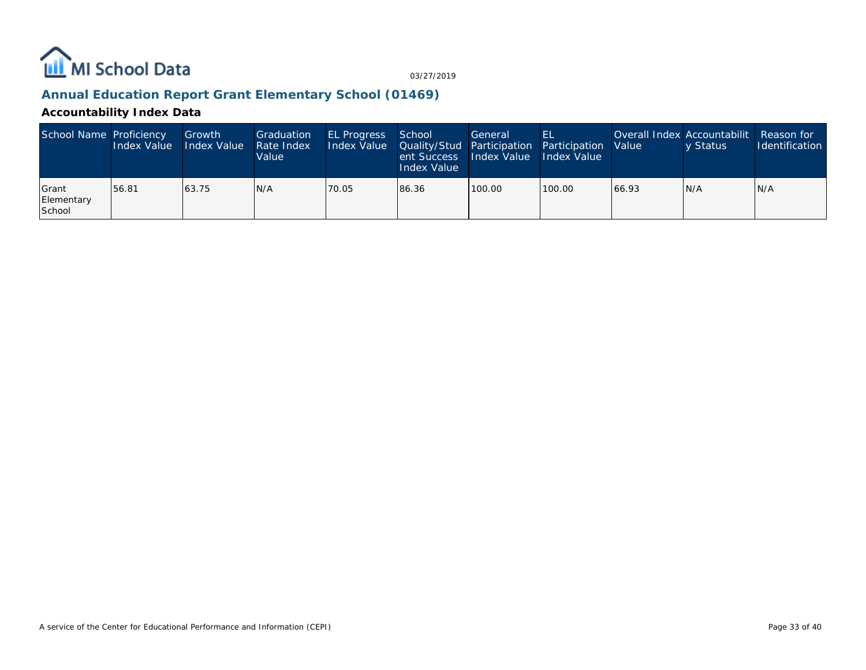

## **Annual Education Report Grant Elementary School (01469)**

#### **Accountability Index Data**

| School Name Proficiency               | Index Value | Growth<br>Index Value | Graduation<br>Rate Index<br>Value | <b>EL Progress</b><br>Index Value   Quality/Stud   Participation   Participation   Value | School<br>ent Success<br><b>Index Value</b> | General<br>Index Value Index Value | 'EL    | Overall Index Accountabilit   Reason for | v Status | <b>Identification</b> |
|---------------------------------------|-------------|-----------------------|-----------------------------------|------------------------------------------------------------------------------------------|---------------------------------------------|------------------------------------|--------|------------------------------------------|----------|-----------------------|
| <b>Scrant</b><br>Elementary<br>School | 156.81      | 63.75                 | IN/A                              | 70.05                                                                                    | 86.36                                       | 100.00                             | 100.00 | 66.93                                    | IN/A     | IN/A                  |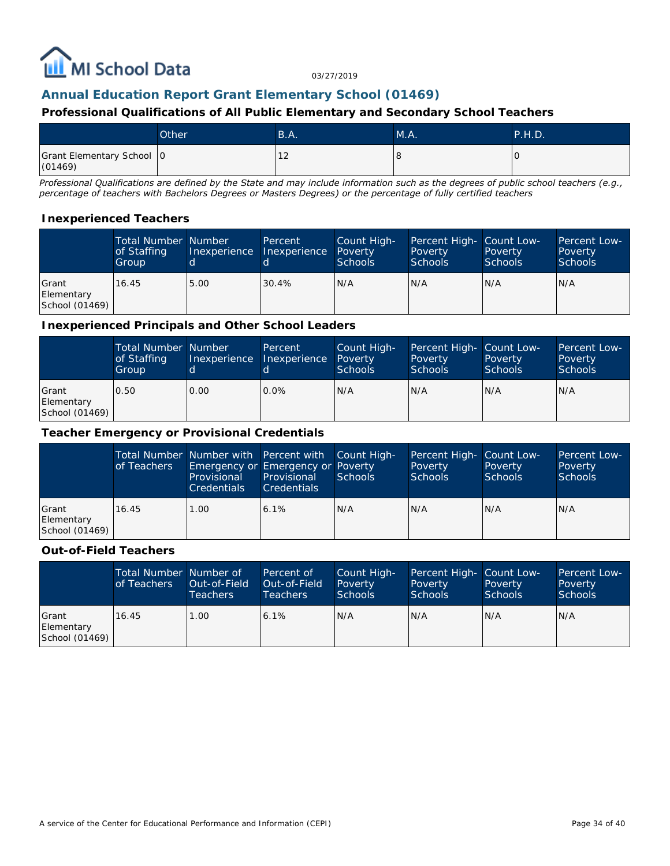

#### **Annual Education Report Grant Elementary School (01469)**

#### **Professional Qualifications of All Public Elementary and Secondary School Teachers**

|                                      | Other <sup>'</sup> | B.A. | M.A. | <b>P.H.D.</b> |
|--------------------------------------|--------------------|------|------|---------------|
| Grant Elementary School 0<br>(01469) |                    | ∸    |      | ' C           |

*Professional Qualifications are defined by the State and may include information such as the degrees of public school teachers (e.g., percentage of teachers with Bachelors Degrees or Masters Degrees) or the percentage of fully certified teachers*

#### **Inexperienced Teachers**

|                                         | <b>Total Number Number</b><br>of Staffing<br>Group | Inexperience | Percent<br>Inexperience | Count High-<br>Poverty<br><b>Schools</b> | Percent High- Count Low-<br>Poverty<br><b>Schools</b> | Poverty<br><b>Schools</b> | Percent Low-<br>Poverty<br><b>Schools</b> |
|-----------------------------------------|----------------------------------------------------|--------------|-------------------------|------------------------------------------|-------------------------------------------------------|---------------------------|-------------------------------------------|
| l Grant<br>Elementary<br>School (01469) | 16.45                                              | 5.00         | 30.4%                   | IN/A                                     | N/A                                                   | N/A                       | N/A                                       |

#### **Inexperienced Principals and Other School Leaders**

|                                               | <b>Total Number Number</b><br>of Staffing<br>Group |      | Percent<br>Inexperience Inexperience | Count High-<br>Poverty<br><b>Schools</b> | Percent High- Count Low-<br>Poverty<br><b>Schools</b> | Poverty<br><b>Schools</b> | Percent Low-<br>Poverty<br><b>Schools</b> |
|-----------------------------------------------|----------------------------------------------------|------|--------------------------------------|------------------------------------------|-------------------------------------------------------|---------------------------|-------------------------------------------|
| <b>Scrant</b><br>Elementary<br>School (01469) | 0.50                                               | 0.00 | $0.0\%$                              | N/A                                      | N/A                                                   | N/A                       | N/A                                       |

#### **Teacher Emergency or Provisional Credentials**

|                                               | of Teachers | Provisional<br><b>Credentials</b> | Total Number Number with Percent with Count High-<br>Emergency or Emergency or Poverty<br>Provisional<br><b>Credentials</b> | Schools | Percent High- Count Low-<br>Poverty<br><b>Schools</b> | Poverty<br><b>Schools</b> | Percent Low-<br>Poverty<br>Schools |
|-----------------------------------------------|-------------|-----------------------------------|-----------------------------------------------------------------------------------------------------------------------------|---------|-------------------------------------------------------|---------------------------|------------------------------------|
| <b>Scrant</b><br>Elementary<br>School (01469) | 16.45       | 1.00                              | 6.1%                                                                                                                        | N/A     | N/A                                                   | N/A                       | N/A                                |

#### **Out-of-Field Teachers**

|                                       | Total Number Number of<br>of Teachers | Out-of-Field<br>Teachers | Percent of<br>Out-of-Field<br>Teachers | Count High-<br>Poverty<br>Schools | Percent High- Count Low-<br>Poverty<br><b>Schools</b> | Poverty<br><b>Schools</b> | Percent Low-<br>Poverty<br><b>Schools</b> |
|---------------------------------------|---------------------------------------|--------------------------|----------------------------------------|-----------------------------------|-------------------------------------------------------|---------------------------|-------------------------------------------|
| Grant<br>Elementary<br>School (01469) | 16.45                                 | 1.00                     | 6.1%                                   | N/A                               | N/A                                                   | N/A                       | IN/A                                      |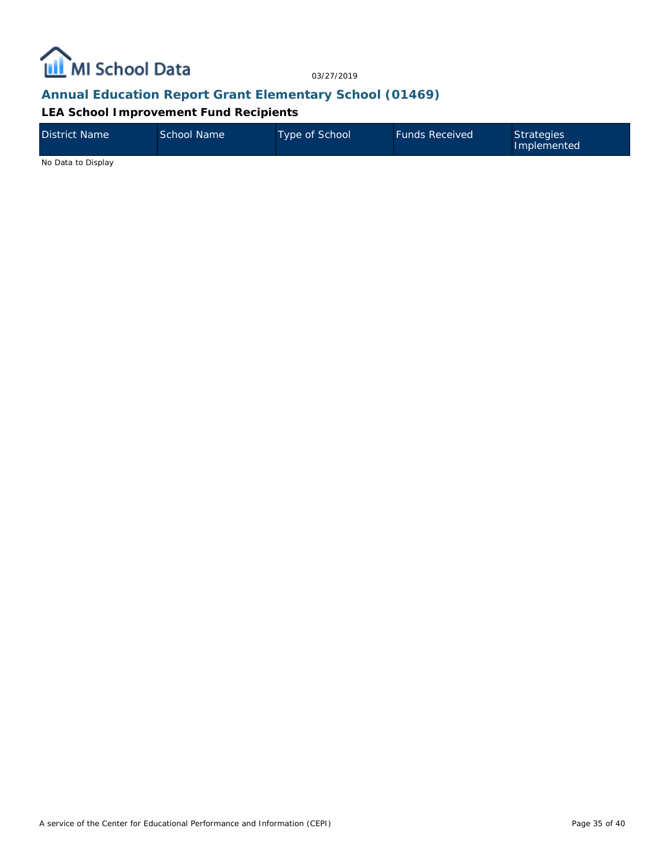

#### **Annual Education Report Grant Elementary School (01469)**

#### **LEA School Improvement Fund Recipients**

| District Name      | School Name | Type of School | <b>Funds Received</b> | <b>Strategies</b><br>Implemented |
|--------------------|-------------|----------------|-----------------------|----------------------------------|
| No Data to Display |             |                |                       |                                  |

A service of the Center for Educational Performance and Information (CEPI)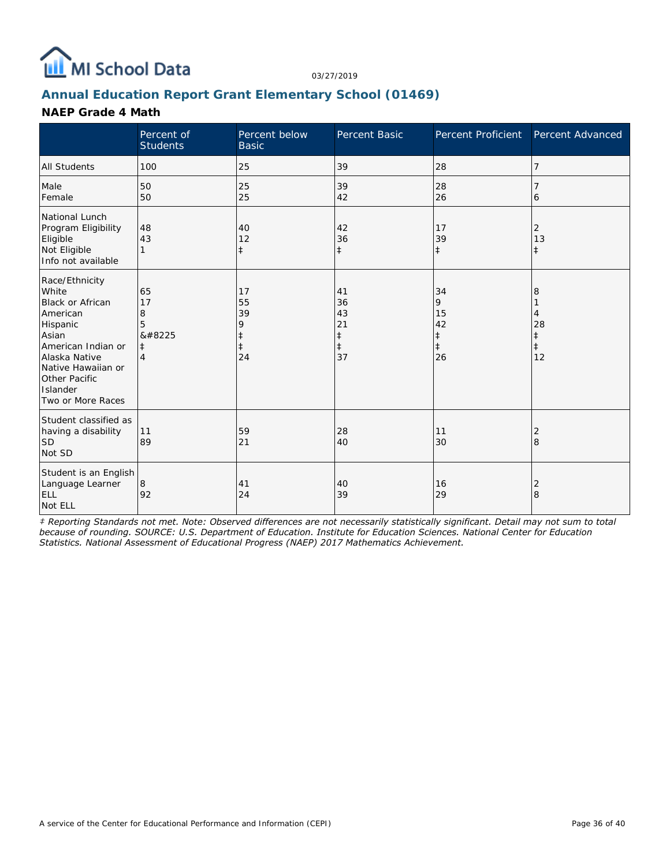

## **Annual Education Report Grant Elementary School (01469)**

#### **NAEP Grade 4 Math**

|                                                                                                                                                                                                    | Percent of<br><b>Students</b>                           | Percent below<br><b>Basic</b>                         | Percent Basic                                          | Percent Proficient                                    | Percent Advanced                 |
|----------------------------------------------------------------------------------------------------------------------------------------------------------------------------------------------------|---------------------------------------------------------|-------------------------------------------------------|--------------------------------------------------------|-------------------------------------------------------|----------------------------------|
| <b>All Students</b>                                                                                                                                                                                | 100                                                     | 25                                                    | 39                                                     | 28                                                    | 7                                |
| Male<br>Female                                                                                                                                                                                     | 50<br>50                                                | 25<br>25                                              | 39<br>42                                               | 28<br>26                                              | 7<br>6                           |
| National Lunch<br>Program Eligibility<br>Eligible<br>Not Eligible<br>Info not available                                                                                                            | 48<br>43                                                | 40<br>12<br>$\ddagger$                                | 42<br>36<br>$\ddagger$                                 | 17<br>39<br>$\ddagger$                                | 2<br>13<br>$\pm$                 |
| Race/Ethnicity<br>White<br><b>Black or African</b><br>American<br>Hispanic<br>Asian<br>American Indian or<br>Alaska Native<br>Native Hawaiian or<br>Other Pacific<br>Islander<br>Two or More Races | 65<br>17<br>8<br>5<br>‡<br>$\ddagger$<br>$\overline{4}$ | 17<br>55<br>39<br>9<br>$\ddagger$<br>$\ddagger$<br>24 | 41<br>36<br>43<br>21<br>$\ddagger$<br>$\ddagger$<br>37 | 34<br>9<br>15<br>42<br>$\ddagger$<br>$\ddagger$<br>26 | 8<br>4<br>28<br>$\ddagger$<br>12 |
| Student classified as<br>having a disability<br><b>SD</b><br>Not SD                                                                                                                                | 11<br>89                                                | 59<br>21                                              | 28<br>40                                               | 11<br>30                                              | 2<br>8                           |
| Student is an English<br>Language Learner<br><b>ELL</b><br>Not ELL                                                                                                                                 | 8<br>92                                                 | 41<br>24                                              | 40<br>39                                               | 16<br>29                                              | 2<br>8                           |

*‡ Reporting Standards not met. Note: Observed differences are not necessarily statistically significant. Detail may not sum to total because of rounding. SOURCE: U.S. Department of Education. Institute for Education Sciences. National Center for Education Statistics. National Assessment of Educational Progress (NAEP) 2017 Mathematics Achievement.*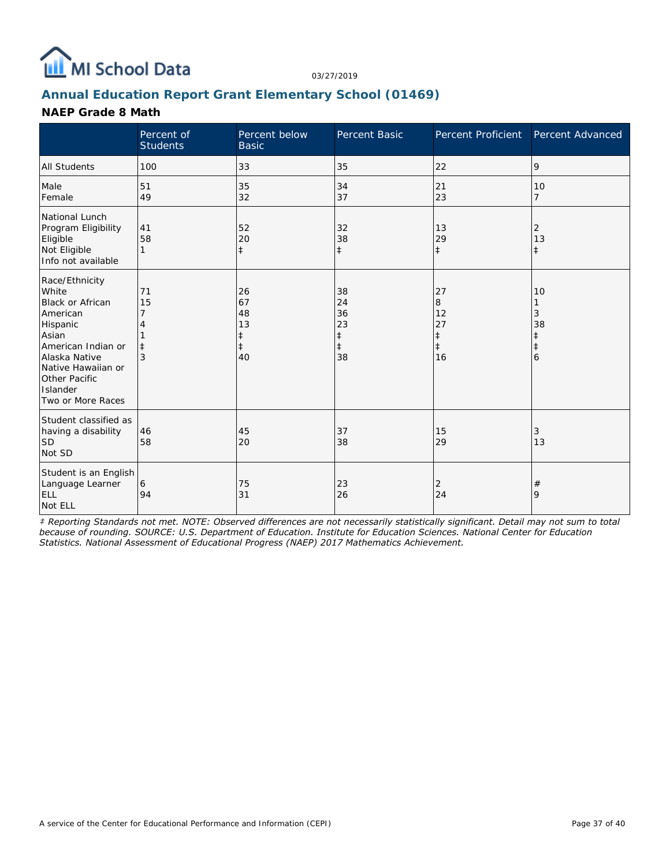

## **Annual Education Report Grant Elementary School (01469)**

#### **NAEP Grade 8 Math**

|                                                                                                                                                                                                    | Percent of<br><b>Students</b>    | Percent below<br><b>Basic</b>                          | Percent Basic                                          | Percent Proficient                                    | Percent Advanced                 |
|----------------------------------------------------------------------------------------------------------------------------------------------------------------------------------------------------|----------------------------------|--------------------------------------------------------|--------------------------------------------------------|-------------------------------------------------------|----------------------------------|
| <b>All Students</b>                                                                                                                                                                                | 100                              | 33                                                     | 35                                                     | 22                                                    | 9                                |
| Male<br>Female                                                                                                                                                                                     | 51<br>49                         | 35<br>32                                               | 34<br>37                                               | 21<br>23                                              | 10<br>$\overline{7}$             |
| National Lunch<br>Program Eligibility<br>Eligible<br>Not Eligible<br>Info not available                                                                                                            | 41<br>58<br>1                    | 52<br>20<br>$\ddagger$                                 | 32<br>38<br>$\ddagger$                                 | 13<br>29<br>$\ddagger$                                | 2<br>13<br>$\pm$                 |
| Race/Ethnicity<br>White<br>Black or African<br>American<br>Hispanic<br>Asian<br>American Indian or<br>Alaska Native<br>Native Hawaiian or<br><b>Other Pacific</b><br>Islander<br>Two or More Races | 71<br>15<br>7<br>$\ddagger$<br>3 | 26<br>67<br>48<br>13<br>$\ddagger$<br>$\ddagger$<br>40 | 38<br>24<br>36<br>23<br>$\ddagger$<br>$\ddagger$<br>38 | 27<br>8<br>12<br>27<br>$\ddagger$<br>$\ddagger$<br>16 | 10<br>3<br>38<br>$\ddagger$<br>6 |
| Student classified as<br>having a disability<br><b>SD</b><br>Not SD                                                                                                                                | 46<br>58                         | 45<br>20                                               | 37<br>38                                               | 15<br>29                                              | 3<br>13                          |
| Student is an English<br>Language Learner<br><b>ELL</b><br>Not ELL                                                                                                                                 | 6<br>94                          | 75<br>31                                               | 23<br>26                                               | 2<br>24                                               | $^{\#}$<br>9                     |

*‡ Reporting Standards not met. NOTE: Observed differences are not necessarily statistically significant. Detail may not sum to total because of rounding. SOURCE: U.S. Department of Education. Institute for Education Sciences. National Center for Education Statistics. National Assessment of Educational Progress (NAEP) 2017 Mathematics Achievement.*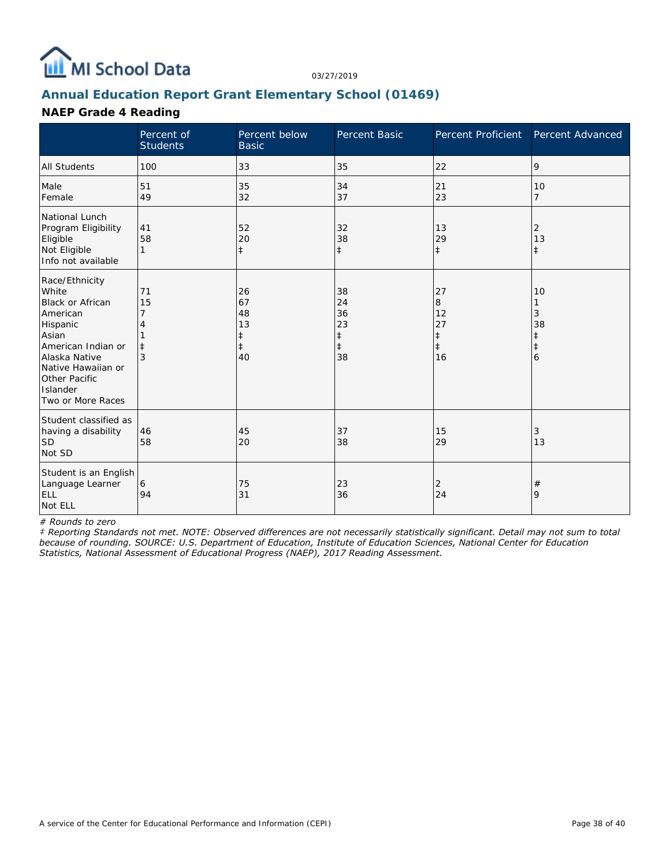

## **Annual Education Report Grant Elementary School (01469)**

#### **NAEP Grade 4 Reading**

|                                                                                                                                                                                                    | Percent of<br><b>Students</b> | Percent below<br><b>Basic</b>            | <b>Percent Basic</b>                                   | Percent Proficient                                    | Percent Advanced                 |
|----------------------------------------------------------------------------------------------------------------------------------------------------------------------------------------------------|-------------------------------|------------------------------------------|--------------------------------------------------------|-------------------------------------------------------|----------------------------------|
| <b>All Students</b>                                                                                                                                                                                | 100                           | 33                                       | 35                                                     | 22                                                    | 9                                |
| Male<br>Female                                                                                                                                                                                     | 51<br>49                      | 35<br>32                                 | 34<br>37                                               | 21<br>23                                              | 10<br>$\overline{7}$             |
| National Lunch<br>Program Eligibility<br>Eligible<br>Not Eligible<br>Info not available                                                                                                            | 41<br>58<br>1                 | 52<br>20<br>$\ddagger$                   | 32<br>38<br>$\ddagger$                                 | 13<br>29<br>$\ddagger$                                | 2<br>13<br>$\pm$                 |
| Race/Ethnicity<br>White<br><b>Black or African</b><br>American<br>Hispanic<br>Asian<br>American Indian or<br>Alaska Native<br>Native Hawaiian or<br>Other Pacific<br>Islander<br>Two or More Races | 71<br>15<br>$\ddagger$<br>3   | 26<br>67<br>48<br>13<br>$\ddagger$<br>40 | 38<br>24<br>36<br>23<br>$\ddagger$<br>$\ddagger$<br>38 | 27<br>8<br>12<br>27<br>$\ddagger$<br>$\ddagger$<br>16 | 10<br>3<br>38<br>$\ddagger$<br>6 |
| Student classified as<br>having a disability<br><b>SD</b><br>Not SD                                                                                                                                | 46<br>58                      | 45<br>20                                 | 37<br>38                                               | 15<br>29                                              | 3<br>13                          |
| Student is an English<br>Language Learner<br><b>ELL</b><br>Not ELL                                                                                                                                 | 6<br>94                       | 75<br>31                                 | 23<br>36                                               | 2<br>24                                               | $\#$<br>9                        |

*# Rounds to zero*

*‡ Reporting Standards not met. NOTE: Observed differences are not necessarily statistically significant. Detail may not sum to total because of rounding. SOURCE: U.S. Department of Education, Institute of Education Sciences, National Center for Education Statistics, National Assessment of Educational Progress (NAEP), 2017 Reading Assessment.*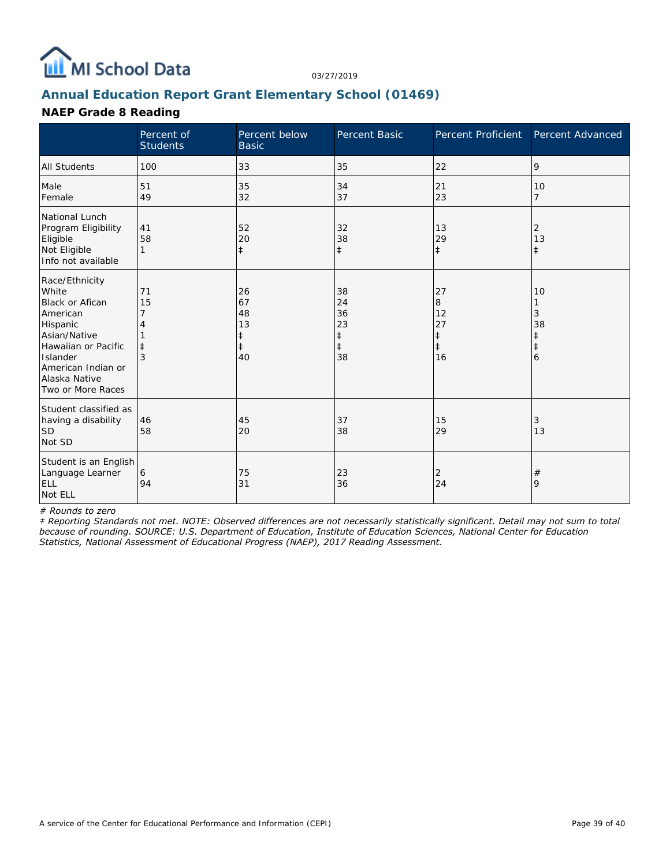

## **Annual Education Report Grant Elementary School (01469)**

#### **NAEP Grade 8 Reading**

|                                                                                                                                                                                          | Percent of<br><b>Students</b> | Percent below<br><b>Basic</b>                 | Percent Basic                                          | Percent Proficient                                    | Percent Advanced        |
|------------------------------------------------------------------------------------------------------------------------------------------------------------------------------------------|-------------------------------|-----------------------------------------------|--------------------------------------------------------|-------------------------------------------------------|-------------------------|
| <b>All Students</b>                                                                                                                                                                      | 100                           | 33                                            | 35                                                     | 22                                                    | 9                       |
| Male<br>Female                                                                                                                                                                           | 51<br>49                      | 35<br>32                                      | 34<br>37                                               | 21<br>23                                              | 10<br>7                 |
| National Lunch<br>Program Eligibility<br>Eligible<br>Not Eligible<br>Info not available                                                                                                  | 41<br>58                      | 52<br>20<br>$\ddagger$                        | 32<br>38<br>$\ddagger$                                 | 13<br>29<br>$\ddagger$                                | 2<br>13<br>$\pm$        |
| Race/Ethnicity<br>White<br><b>Black or Afican</b><br>American<br>Hispanic<br>Asian/Native<br>Hawaiian or Pacific<br>Islander<br>American Indian or<br>Alaska Native<br>Two or More Races | 71<br>15                      | 26<br>67<br>48<br>13<br>ŧ<br>$\ddagger$<br>40 | 38<br>24<br>36<br>23<br>$\ddagger$<br>$\ddagger$<br>38 | 27<br>8<br>12<br>27<br>$\ddagger$<br>$\ddagger$<br>16 | 10<br>3<br>38<br>ŧ<br>6 |
| Student classified as<br>having a disability<br><b>SD</b><br>Not SD                                                                                                                      | 46<br>58                      | 45<br>20                                      | 37<br>38                                               | 15<br>29                                              | 3<br>13                 |
| Student is an English<br>Language Learner<br><b>ELL</b><br>Not ELL                                                                                                                       | 6<br>94                       | 75<br>31                                      | 23<br>36                                               | $\overline{2}$<br>24                                  | $^{\#}$<br>9            |

*# Rounds to zero*

*‡ Reporting Standards not met. NOTE: Observed differences are not necessarily statistically significant. Detail may not sum to total because of rounding. SOURCE: U.S. Department of Education, Institute of Education Sciences, National Center for Education Statistics, National Assessment of Educational Progress (NAEP), 2017 Reading Assessment.*